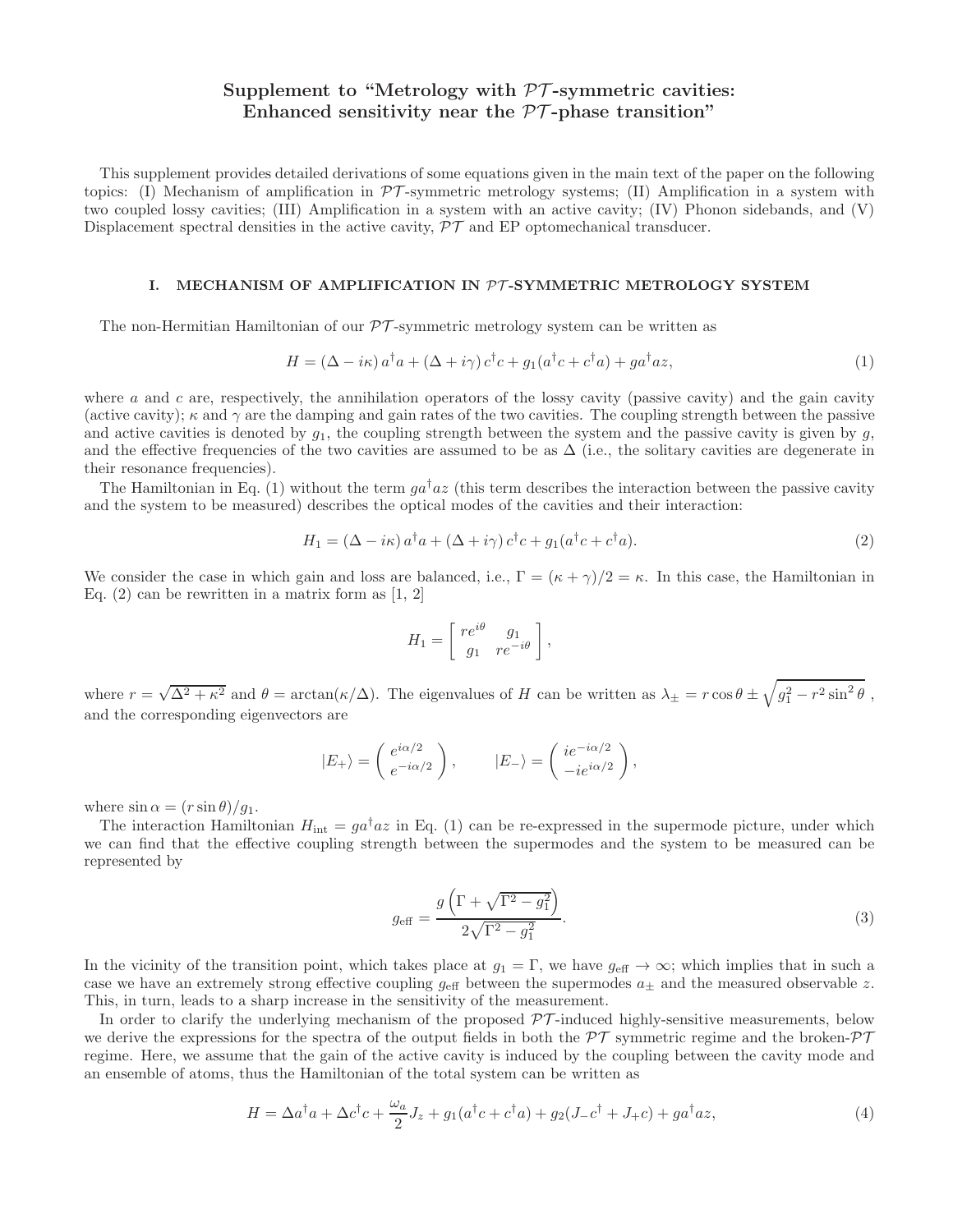# Supplement to "Metrology with  $PT$ -symmetric cavities: Enhanced sensitivity near the  $\mathcal{PT}\text{-phase transition}$ "

This supplement provides detailed derivations of some equations given in the main text of the paper on the following topics: (I) Mechanism of amplification in  $\mathcal{PT}$ -symmetric metrology systems; (II) Amplification in a system with two coupled lossy cavities; (III) Amplification in a system with an active cavity; (IV) Phonon sidebands, and (V) Displacement spectral densities in the active cavity,  $\mathcal{PT}$  and EP optomechanical transducer.

## I. MECHANISM OF AMPLIFICATION IN  $PT$ -SYMMETRIC METROLOGY SYSTEM

The non-Hermitian Hamiltonian of our  $\mathcal{PT}$ -symmetric metrology system can be written as

$$
H = (\Delta - i\kappa) a^{\dagger} a + (\Delta + i\gamma) c^{\dagger} c + g_1 (a^{\dagger} c + c^{\dagger} a) + g a^{\dagger} a z,
$$
\n<sup>(1)</sup>

where a and c are, respectively, the annihilation operators of the lossy cavity (passive cavity) and the gain cavity (active cavity);  $\kappa$  and  $\gamma$  are the damping and gain rates of the two cavities. The coupling strength between the passive and active cavities is denoted by  $g_1$ , the coupling strength between the system and the passive cavity is given by  $g$ , and the effective frequencies of the two cavities are assumed to be as  $\Delta$  (i.e., the solitary cavities are degenerate in their resonance frequencies).

The Hamiltonian in Eq. (1) without the term  $g a^{\dagger} a z$  (this term describes the interaction between the passive cavity and the system to be measured) describes the optical modes of the cavities and their interaction:

$$
H_1 = (\Delta - i\kappa) a^\dagger a + (\Delta + i\gamma) c^\dagger c + g_1 (a^\dagger c + c^\dagger a). \tag{2}
$$

We consider the case in which gain and loss are balanced, i.e.,  $\Gamma = (\kappa + \gamma)/2 = \kappa$ . In this case, the Hamiltonian in Eq.  $(2)$  can be rewritten in a matrix form as [1, 2]

$$
H_1 = \left[ \begin{array}{cc} re^{i\theta} & g_1 \\ g_1 & re^{-i\theta} \end{array} \right],
$$

where  $r = \sqrt{\Delta^2 + \kappa^2}$  and  $\theta = \arctan(\kappa/\Delta)$ . The eigenvalues of H can be written as  $\lambda_{\pm} = r \cos \theta \pm \sqrt{g_1^2 - r^2 \sin^2 \theta}$ , and the corresponding eigenvectors are

$$
|E_{+}\rangle = \begin{pmatrix} e^{i\alpha/2} \\ e^{-i\alpha/2} \end{pmatrix}, \qquad |E_{-}\rangle = \begin{pmatrix} ie^{-i\alpha/2} \\ -ie^{i\alpha/2} \end{pmatrix},
$$

where  $\sin \alpha = (r \sin \theta)/g_1$ .

The interaction Hamiltonian  $H_{\text{int}} = ga^{\dagger}az$  in Eq. (1) can be re-expressed in the supermode picture, under which we can find that the effective coupling strength between the supermodes and the system to be measured can be represented by

$$
g_{\text{eff}} = \frac{g\left(\Gamma + \sqrt{\Gamma^2 - g_1^2}\right)}{2\sqrt{\Gamma^2 - g_1^2}}.
$$
\n(3)

In the vicinity of the transition point, which takes place at  $g_1 = \Gamma$ , we have  $g_{\text{eff}} \to \infty$ ; which implies that in such a case we have an extremely strong effective coupling  $g_{\text{eff}}$  between the supermodes  $a_{\pm}$  and the measured observable z. This, in turn, leads to a sharp increase in the sensitivity of the measurement.

In order to clarify the underlying mechanism of the proposed  $\mathcal{PT}$ -induced highly-sensitive measurements, below we derive the expressions for the spectra of the output fields in both the  $\mathcal{PT}$  symmetric regime and the broken- $\mathcal{PT}$ regime. Here, we assume that the gain of the active cavity is induced by the coupling between the cavity mode and an ensemble of atoms, thus the Hamiltonian of the total system can be written as

$$
H = \Delta a^{\dagger} a + \Delta c^{\dagger} c + \frac{\omega_a}{2} J_z + g_1 (a^{\dagger} c + c^{\dagger} a) + g_2 (J_- c^{\dagger} + J_+ c) + g a^{\dagger} a z,
$$
\n
$$
\tag{4}
$$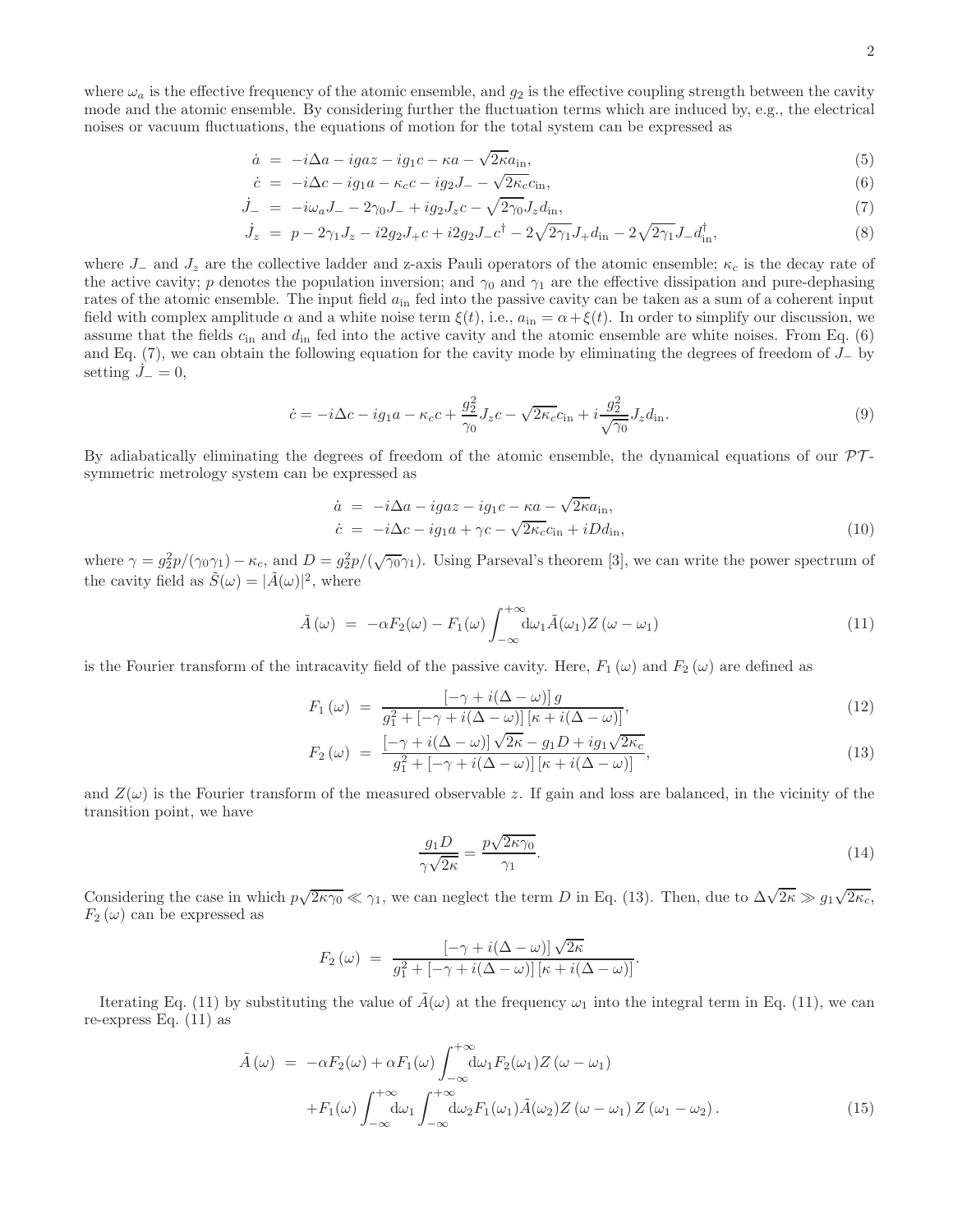where  $\omega_a$  is the effective frequency of the atomic ensemble, and  $g_2$  is the effective coupling strength between the cavity mode and the atomic ensemble. By considering further the fluctuation terms which are induced by, e.g., the electrical noises or vacuum fluctuations, the equations of motion for the total system can be expressed as

$$
\dot{a} = -i\Delta a - igaz - ig_1c - \kappa a - \sqrt{2\kappa a_{\rm in}},\tag{5}
$$

$$
\dot{c} = -i\Delta c - ig_1 a - \kappa_c c - ig_2 J_- - \sqrt{2\kappa_c} c_{\rm in},\tag{6}
$$

$$
\dot{J}_{-} = -i\omega_{a}J_{-} - 2\gamma_{0}J_{-} + ig_{2}J_{z}c - \sqrt{2\gamma_{0}}J_{z}d_{\text{in}},\tag{7}
$$

$$
\dot{J}_z = p - 2\gamma_1 J_z - i2g_2 J_+ c + i2g_2 J_- c^\dagger - 2\sqrt{2\gamma_1} J_+ d_{\rm in} - 2\sqrt{2\gamma_1} J_- d_{\rm in}^\dagger,\tag{8}
$$

where  $J_-\$  and  $J_z$  are the collective ladder and z-axis Pauli operators of the atomic ensemble;  $\kappa_c$  is the decay rate of the active cavity; p denotes the population inversion; and  $\gamma_0$  and  $\gamma_1$  are the effective dissipation and pure-dephasing rates of the atomic ensemble. The input field  $a_{\rm in}$  fed into the passive cavity can be taken as a sum of a coherent input field with complex amplitude  $\alpha$  and a white noise term  $\xi(t)$ , i.e.,  $a_{in} = \alpha + \xi(t)$ . In order to simplify our discussion, we assume that the fields  $c_{\rm in}$  and  $d_{\rm in}$  fed into the active cavity and the atomic ensemble are white noises. From Eq. (6) and Eq. (7), we can obtain the following equation for the cavity mode by eliminating the degrees of freedom of J<sup>−</sup> by setting  $J_-=0$ ,

$$
\dot{c} = -i\Delta c - ig_1 a - \kappa_c c + \frac{g_2^2}{\gamma_0} J_z c - \sqrt{2\kappa_c} c_{\rm in} + i \frac{g_2^2}{\sqrt{\gamma_0}} J_z d_{\rm in}.
$$
\n(9)

By adiabatically eliminating the degrees of freedom of the atomic ensemble, the dynamical equations of our  $\mathcal{PT}$ symmetric metrology system can be expressed as

$$
\dot{a} = -i\Delta a - igaz - ig_1c - \kappa a - \sqrt{2\kappa}a_{\rm in},
$$
\n
$$
\dot{c} = -i\Delta c - ig_1a + \gamma c - \sqrt{2\kappa_c}c_{\rm in} + iDd_{\rm in},
$$
\n(10)

where  $\gamma = g_2^2 p / (\gamma_0 \gamma_1) - \kappa_c$ , and  $D = g_2^2 p / (\sqrt{\gamma_0} \gamma_1)$ . Using Parseval's theorem [3], we can write the power spectrum of the cavity field as  $\tilde{S}(\omega) = |\tilde{A}(\omega)|^2$ , where

$$
\tilde{A}(\omega) = -\alpha F_2(\omega) - F_1(\omega) \int_{-\infty}^{+\infty} d\omega_1 \tilde{A}(\omega_1) Z(\omega - \omega_1)
$$
\n(11)

is the Fourier transform of the intracavity field of the passive cavity. Here,  $F_1(\omega)$  and  $F_2(\omega)$  are defined as

$$
F_1(\omega) = \frac{\left[-\gamma + i(\Delta - \omega)\right]g}{g_1^2 + \left[-\gamma + i(\Delta - \omega)\right]\left[\kappa + i(\Delta - \omega)\right]},\tag{12}
$$

$$
F_2(\omega) = \frac{\left[-\gamma + i(\Delta - \omega)\right]\sqrt{2\kappa} - g_1 D + ig_1 \sqrt{2\kappa_c}}{g_1^2 + \left[-\gamma + i(\Delta - \omega)\right]\left[\kappa + i(\Delta - \omega)\right]},\tag{13}
$$

and  $Z(\omega)$  is the Fourier transform of the measured observable z. If gain and loss are balanced, in the vicinity of the transition point, we have

$$
\frac{g_1 D}{\gamma \sqrt{2\kappa}} = \frac{p\sqrt{2\kappa \gamma_0}}{\gamma_1}.
$$
\n(14)

Considering the case in which  $p\sqrt{2\kappa\gamma_0} \ll \gamma_1$ , we can neglect the term D in Eq. (13). Then, due to  $\Delta\sqrt{2\kappa} \gg g_1\sqrt{2\kappa_c}$ ,  $F_2(\omega)$  can be expressed as

$$
F_2(\omega) = \frac{[-\gamma + i(\Delta - \omega)]\sqrt{2\kappa}}{g_1^2 + [-\gamma + i(\Delta - \omega)][\kappa + i(\Delta - \omega)]}.
$$

Iterating Eq. (11) by substituting the value of  $\tilde{A}(\omega)$  at the frequency  $\omega_1$  into the integral term in Eq. (11), we can re-express Eq. (11) as

$$
\tilde{A}(\omega) = -\alpha F_2(\omega) + \alpha F_1(\omega) \int_{-\infty}^{+\infty} d\omega_1 F_2(\omega_1) Z(\omega - \omega_1)
$$
  
+  $F_1(\omega) \int_{-\infty}^{+\infty} d\omega_1 \int_{-\infty}^{+\infty} d\omega_2 F_1(\omega_1) \tilde{A}(\omega_2) Z(\omega - \omega_1) Z(\omega_1 - \omega_2).$  (15)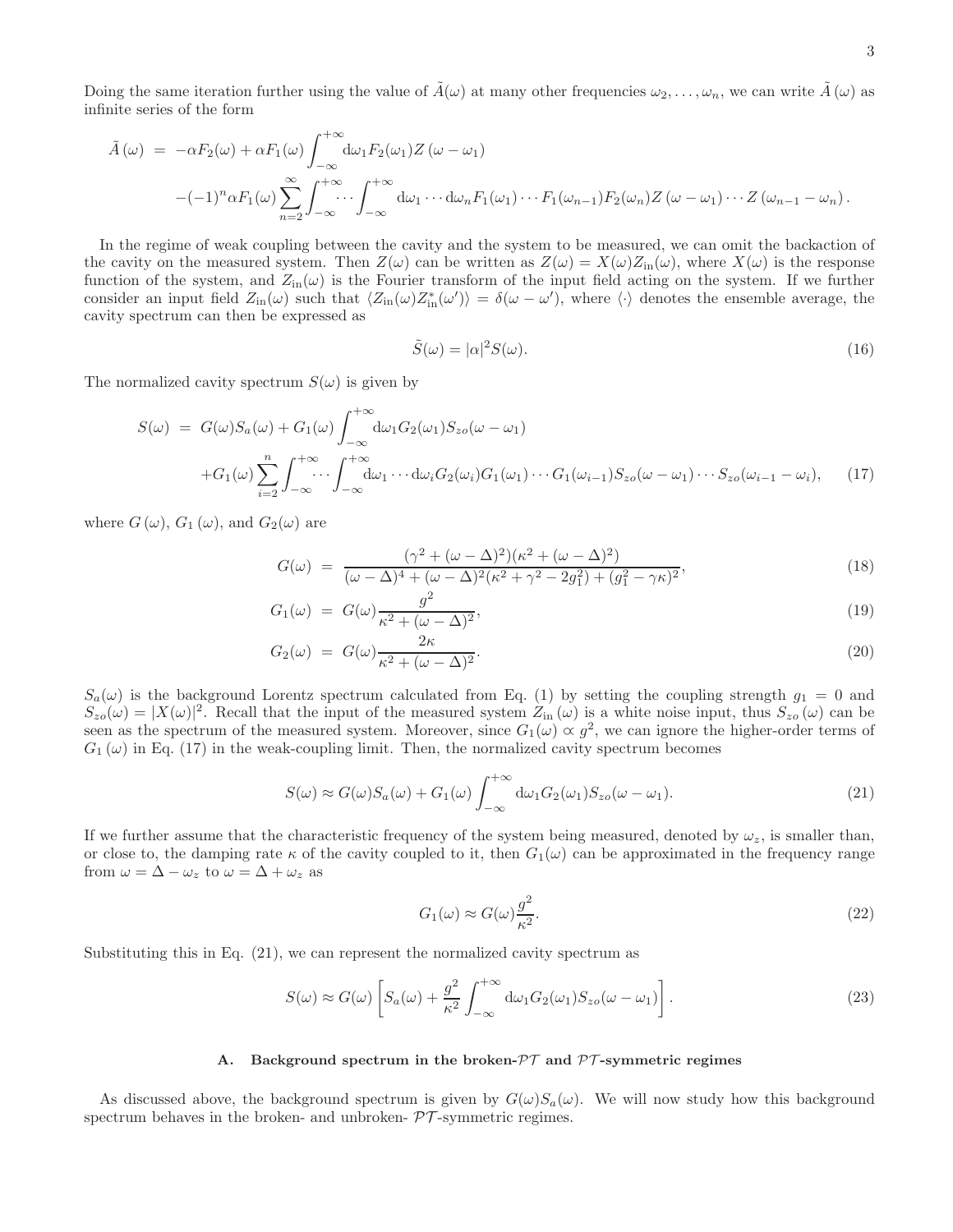Doing the same iteration further using the value of  $\tilde{A}(\omega)$  at many other frequencies  $\omega_2, \ldots, \omega_n$ , we can write  $\tilde{A}(\omega)$  as infinite series of the form

$$
\tilde{A}(\omega) = -\alpha F_2(\omega) + \alpha F_1(\omega) \int_{-\infty}^{+\infty} d\omega_1 F_2(\omega_1) Z(\omega - \omega_1)
$$
  

$$
-(-1)^n \alpha F_1(\omega) \sum_{n=2}^{\infty} \int_{-\infty}^{+\infty} \cdots \int_{-\infty}^{+\infty} d\omega_1 \cdots d\omega_n F_1(\omega_1) \cdots F_1(\omega_{n-1}) F_2(\omega_n) Z(\omega - \omega_1) \cdots Z(\omega_{n-1} - \omega_n).
$$

In the regime of weak coupling between the cavity and the system to be measured, we can omit the backaction of the cavity on the measured system. Then  $Z(\omega)$  can be written as  $Z(\omega) = X(\omega)Z_{\text{in}}(\omega)$ , where  $X(\omega)$  is the response function of the system, and  $Z_{\text{in}}(\omega)$  is the Fourier transform of the input field acting on the system. If we further consider an input field  $Z_{\text{in}}(\omega)$  such that  $\langle Z_{\text{in}}(\omega)Z_{\text{in}}^*(\omega')\rangle = \delta(\omega - \omega')$ , where  $\langle \cdot \rangle$  denotes the ensemble average, the cavity spectrum can then be expressed as

$$
\tilde{S}(\omega) = |\alpha|^2 S(\omega). \tag{16}
$$

The normalized cavity spectrum  $S(\omega)$  is given by

$$
S(\omega) = G(\omega)S_a(\omega) + G_1(\omega) \int_{-\infty}^{+\infty} d\omega_1 G_2(\omega_1) S_{z_0}(\omega - \omega_1)
$$
  
+
$$
G_1(\omega) \sum_{i=2}^n \int_{-\infty}^{+\infty} \cdots \int_{-\infty}^{+\infty} d\omega_1 \cdots d\omega_i G_2(\omega_i) G_1(\omega_1) \cdots G_1(\omega_{i-1}) S_{z_0}(\omega - \omega_1) \cdots S_{z_0}(\omega_{i-1} - \omega_i), \qquad (17)
$$

where  $G(\omega)$ ,  $G_1(\omega)$ , and  $G_2(\omega)$  are

$$
G(\omega) = \frac{(\gamma^2 + (\omega - \Delta)^2)(\kappa^2 + (\omega - \Delta)^2)}{(\omega - \Delta)^4 + (\omega - \Delta)^2(\kappa^2 + \gamma^2 - 2g_1^2) + (g_1^2 - \gamma \kappa)^2},\tag{18}
$$

$$
G_1(\omega) = G(\omega) \frac{g^2}{\kappa^2 + (\omega - \Delta)^2},\tag{19}
$$

$$
G_2(\omega) = G(\omega) \frac{2\kappa}{\kappa^2 + (\omega - \Delta)^2}.
$$
\n(20)

 $S_a(\omega)$  is the background Lorentz spectrum calculated from Eq. (1) by setting the coupling strength  $g_1 = 0$  and  $S_{zo}(\omega) = |X(\omega)|^2$ . Recall that the input of the measured system  $Z_{in}(\omega)$  is a white noise input, thus  $S_{zo}(\omega)$  can be seen as the spectrum of the measured system. Moreover, since  $G_1(\omega) \propto g^2$ , we can ignore the higher-order terms of  $G_1(\omega)$  in Eq. (17) in the weak-coupling limit. Then, the normalized cavity spectrum becomes

$$
S(\omega) \approx G(\omega)S_a(\omega) + G_1(\omega) \int_{-\infty}^{+\infty} d\omega_1 G_2(\omega_1)S_{zo}(\omega - \omega_1).
$$
 (21)

If we further assume that the characteristic frequency of the system being measured, denoted by  $\omega_z$ , is smaller than, or close to, the damping rate  $\kappa$  of the cavity coupled to it, then  $G_1(\omega)$  can be approximated in the frequency range from  $\omega = \Delta - \omega_z$  to  $\omega = \Delta + \omega_z$  as

$$
G_1(\omega) \approx G(\omega) \frac{g^2}{\kappa^2}.
$$
\n(22)

Substituting this in Eq. (21), we can represent the normalized cavity spectrum as

$$
S(\omega) \approx G(\omega) \left[ S_a(\omega) + \frac{g^2}{\kappa^2} \int_{-\infty}^{+\infty} d\omega_1 G_2(\omega_1) S_{zo}(\omega - \omega_1) \right].
$$
 (23)

## A. Background spectrum in the broken- $\mathcal{PT}$  and  $\mathcal{PT}$ -symmetric regimes

As discussed above, the background spectrum is given by  $G(\omega)S_a(\omega)$ . We will now study how this background spectrum behaves in the broken- and unbroken-  $\mathcal{PT}$ -symmetric regimes.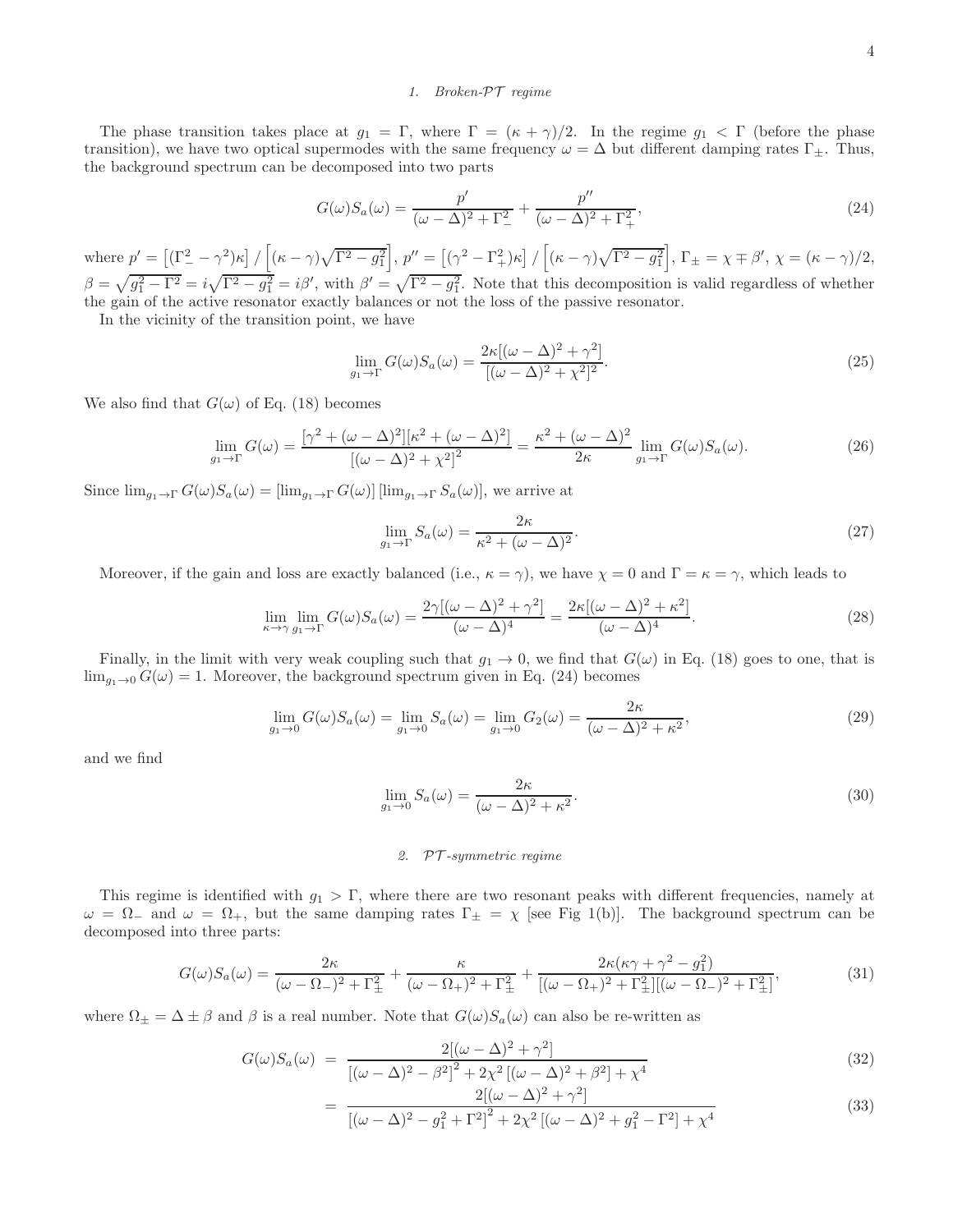## *1. Broken-*PT *regime*

The phase transition takes place at  $g_1 = \Gamma$ , where  $\Gamma = (\kappa + \gamma)/2$ . In the regime  $g_1 < \Gamma$  (before the phase transition), we have two optical supermodes with the same frequency  $\omega = \Delta$  but different damping rates  $\Gamma_{\pm}$ . Thus, the background spectrum can be decomposed into two parts

$$
G(\omega)S_a(\omega) = \frac{p'}{(\omega - \Delta)^2 + \Gamma_-^2} + \frac{p''}{(\omega - \Delta)^2 + \Gamma_+^2},
$$
\n(24)

where  $p' = \left[ (\Gamma_-^2 - \gamma^2) \kappa \right] / \left[ (\kappa - \gamma) \sqrt{\Gamma^2 - g_1^2} \right]$ ,  $p'' = \left[ (\gamma^2 - \Gamma_+^2) \kappa \right] / \left[ (\kappa - \gamma) \sqrt{\Gamma^2 - g_1^2} \right]$ ,  $\Gamma_{\pm} = \chi \mp \beta', \chi = (\kappa - \gamma)/2$ ,  $\beta = \sqrt{g_1^2 - \Gamma^2} = i\sqrt{\Gamma^2 - g_1^2} = i\beta'$ , with  $\beta' = \sqrt{\Gamma^2 - g_1^2}$ . Note that this decomposition is valid regardless of whether the gain of the active resonator exactly balances or not the loss of the passive resonator.

In the vicinity of the transition point, we have

$$
\lim_{g_1 \to \Gamma} G(\omega) S_a(\omega) = \frac{2\kappa [(\omega - \Delta)^2 + \gamma^2]}{[(\omega - \Delta)^2 + \chi^2]^2}.
$$
\n(25)

We also find that  $G(\omega)$  of Eq. (18) becomes

$$
\lim_{g_1 \to \Gamma} G(\omega) = \frac{[\gamma^2 + (\omega - \Delta)^2][\kappa^2 + (\omega - \Delta)^2]}{[(\omega - \Delta)^2 + \chi^2]^2} = \frac{\kappa^2 + (\omega - \Delta)^2}{2\kappa} \lim_{g_1 \to \Gamma} G(\omega) S_a(\omega).
$$
 (26)

Since  $\lim_{g_1 \to \Gamma} G(\omega)S_a(\omega) = [\lim_{g_1 \to \Gamma} G(\omega)] [\lim_{g_1 \to \Gamma} S_a(\omega)],$  we arrive at

$$
\lim_{g_1 \to \Gamma} S_a(\omega) = \frac{2\kappa}{\kappa^2 + (\omega - \Delta)^2}.
$$
\n(27)

Moreover, if the gain and loss are exactly balanced (i.e.,  $\kappa = \gamma$ ), we have  $\chi = 0$  and  $\Gamma = \kappa = \gamma$ , which leads to

$$
\lim_{\kappa \to \gamma} \lim_{g_1 \to \Gamma} G(\omega) S_a(\omega) = \frac{2\gamma [(\omega - \Delta)^2 + \gamma^2]}{(\omega - \Delta)^4} = \frac{2\kappa [(\omega - \Delta)^2 + \kappa^2]}{(\omega - \Delta)^4}.
$$
\n(28)

Finally, in the limit with very weak coupling such that  $g_1 \to 0$ , we find that  $G(\omega)$  in Eq. (18) goes to one, that is  $\lim_{q_1 \to 0} G(\omega) = 1$ . Moreover, the background spectrum given in Eq. (24) becomes

$$
\lim_{g_1 \to 0} G(\omega) S_a(\omega) = \lim_{g_1 \to 0} S_a(\omega) = \lim_{g_1 \to 0} G_2(\omega) = \frac{2\kappa}{(\omega - \Delta)^2 + \kappa^2},
$$
\n(29)

and we find

$$
\lim_{g_1 \to 0} S_a(\omega) = \frac{2\kappa}{(\omega - \Delta)^2 + \kappa^2}.
$$
\n(30)

## *2.* PT *-symmetric regime*

This regime is identified with  $g_1 > \Gamma$ , where there are two resonant peaks with different frequencies, namely at  $\omega = \Omega_{-}$  and  $\omega = \Omega_{+}$ , but the same damping rates  $\Gamma_{\pm} = \chi$  [see Fig 1(b)]. The background spectrum can be decomposed into three parts:

$$
G(\omega)S_a(\omega) = \frac{2\kappa}{(\omega - \Omega_-)^2 + \Gamma_{\pm}^2} + \frac{\kappa}{(\omega - \Omega_+)^2 + \Gamma_{\pm}^2} + \frac{2\kappa(\kappa\gamma + \gamma^2 - g_1^2)}{[(\omega - \Omega_+)^2 + \Gamma_{\pm}^2][( \omega - \Omega_-)^2 + \Gamma_{\pm}^2]},
$$
(31)

where  $\Omega_{\pm} = \Delta \pm \beta$  and  $\beta$  is a real number. Note that  $G(\omega)S_a(\omega)$  can also be re-written as

$$
G(\omega)S_a(\omega) = \frac{2[(\omega - \Delta)^2 + \gamma^2]}{[(\omega - \Delta)^2 - \beta^2]^2 + 2\chi^2[(\omega - \Delta)^2 + \beta^2] + \chi^4}
$$
(32)

$$
= \frac{2[(\omega - \Delta)^2 + \gamma^2]}{[(\omega - \Delta)^2 - g_1^2 + \Gamma^2]^2 + 2\chi^2 [(\omega - \Delta)^2 + g_1^2 - \Gamma^2] + \chi^4}
$$
(33)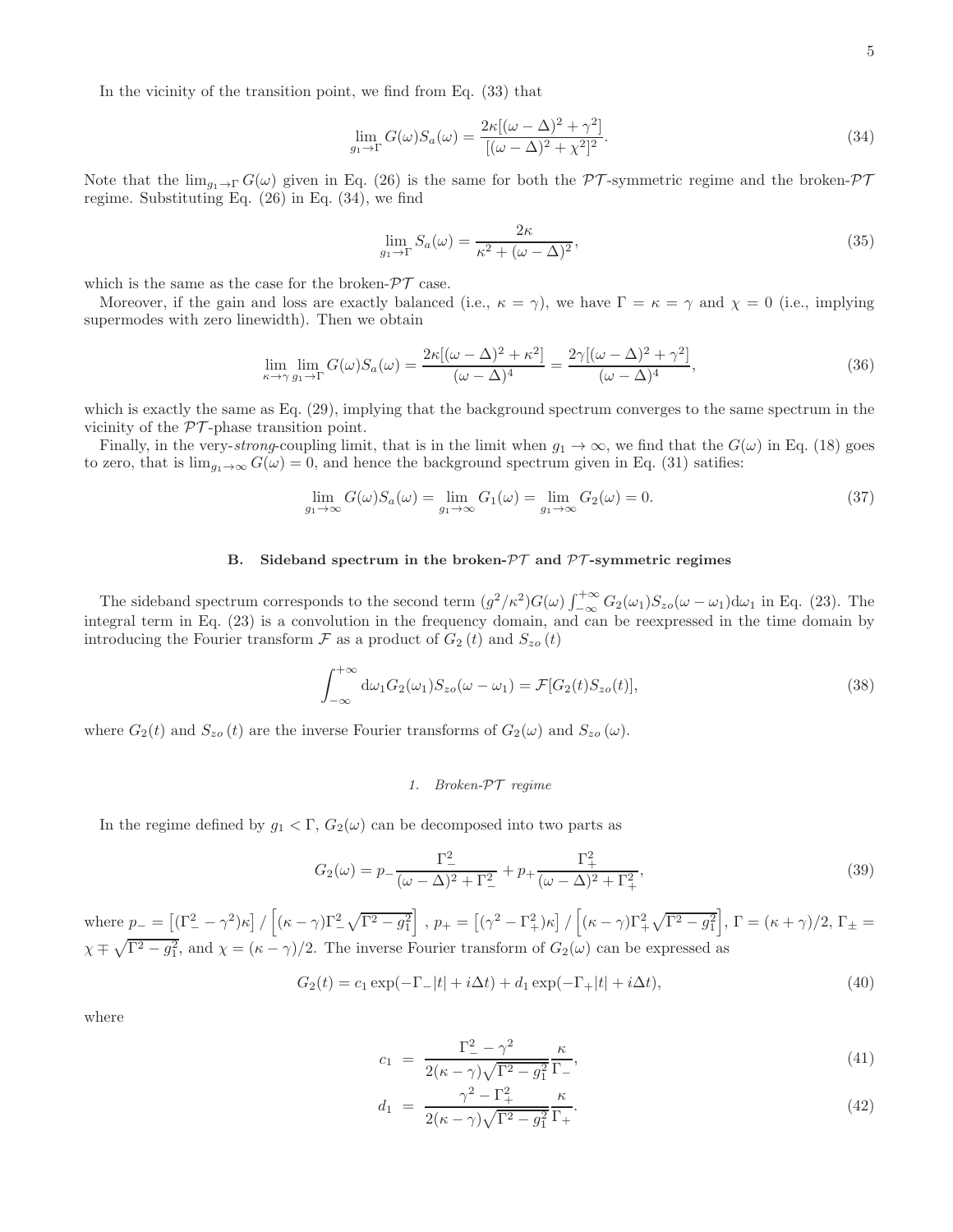In the vicinity of the transition point, we find from Eq. (33) that

$$
\lim_{g_1 \to \Gamma} G(\omega) S_a(\omega) = \frac{2\kappa [(\omega - \Delta)^2 + \gamma^2]}{[(\omega - \Delta)^2 + \chi^2]^2}.
$$
\n(34)

Note that the  $\lim_{g_1 \to \Gamma} G(\omega)$  given in Eq. (26) is the same for both the PT-symmetric regime and the broken-PT regime. Substituting Eq. (26) in Eq. (34), we find

$$
\lim_{g_1 \to \Gamma} S_a(\omega) = \frac{2\kappa}{\kappa^2 + (\omega - \Delta)^2},\tag{35}
$$

which is the same as the case for the broken- $\mathcal{PT}$  case.

Moreover, if the gain and loss are exactly balanced (i.e.,  $\kappa = \gamma$ ), we have  $\Gamma = \kappa = \gamma$  and  $\chi = 0$  (i.e., implying supermodes with zero linewidth). Then we obtain

$$
\lim_{\kappa \to \gamma} \lim_{g_1 \to \Gamma} G(\omega) S_a(\omega) = \frac{2\kappa [(\omega - \Delta)^2 + \kappa^2]}{(\omega - \Delta)^4} = \frac{2\gamma [(\omega - \Delta)^2 + \gamma^2]}{(\omega - \Delta)^4},\tag{36}
$$

which is exactly the same as Eq. (29), implying that the background spectrum converges to the same spectrum in the vicinity of the  $\mathcal{PT}\text{-phase transition point.}$ 

Finally, in the very-strong-coupling limit, that is in the limit when  $g_1 \to \infty$ , we find that the  $G(\omega)$  in Eq. (18) goes to zero, that is  $\lim_{q_1 \to \infty} G(\omega) = 0$ , and hence the background spectrum given in Eq. (31) satifies:

$$
\lim_{g_1 \to \infty} G(\omega) S_a(\omega) = \lim_{g_1 \to \infty} G_1(\omega) = \lim_{g_1 \to \infty} G_2(\omega) = 0.
$$
\n(37)

## B. Sideband spectrum in the broken- $\mathcal{PT}$  and  $\mathcal{PT}$ -symmetric regimes

The sideband spectrum corresponds to the second term  $(g^2/\kappa^2)G(\omega)\int_{-\infty}^{+\infty}G_2(\omega_1)S_{z0}(\omega-\omega_1)d\omega_1$  in Eq. (23). The integral term in Eq. (23) is a convolution in the frequency domain, and can be reexpressed in the time domain by introducing the Fourier transform  $\mathcal F$  as a product of  $G_2(t)$  and  $S_{z0}(t)$ 

$$
\int_{-\infty}^{+\infty} d\omega_1 G_2(\omega_1) S_{zo}(\omega - \omega_1) = \mathcal{F}[G_2(t) S_{zo}(t)],
$$
\n(38)

where  $G_2(t)$  and  $S_{z0}(t)$  are the inverse Fourier transforms of  $G_2(\omega)$  and  $S_{z0}(\omega)$ .

## *1. Broken-*PT *regime*

In the regime defined by  $g_1 < \Gamma$ ,  $G_2(\omega)$  can be decomposed into two parts as

$$
G_2(\omega) = p_-\frac{\Gamma_-^2}{(\omega - \Delta)^2 + \Gamma_-^2} + p_+\frac{\Gamma_+^2}{(\omega - \Delta)^2 + \Gamma_+^2},\tag{39}
$$

where  $p_{-} = \left[ (\Gamma_{-}^{2} - \gamma^{2}) \kappa \right] / \left[ (\kappa - \gamma) \Gamma_{-}^{2} \sqrt{\Gamma^{2} - g_{1}^{2}} \right]$ ,  $p_{+} = \left[ (\gamma^{2} - \Gamma_{+}^{2}) \kappa \right] / \left[ (\kappa - \gamma) \Gamma_{+}^{2} \sqrt{\Gamma^{2} - g_{1}^{2}} \right]$ ,  $\Gamma = (\kappa + \gamma)/2$ ,  $\Gamma_{\pm} =$  $\chi \mp \sqrt{\Gamma^2 - g_1^2}$ , and  $\chi = (\kappa - \gamma)/2$ . The inverse Fourier transform of  $G_2(\omega)$  can be expressed as

$$
G_2(t) = c_1 \exp(-\Gamma_-|t| + i\Delta t) + d_1 \exp(-\Gamma_+|t| + i\Delta t), \tag{40}
$$

where

$$
c_1 = \frac{\Gamma_-^2 - \gamma^2}{2(\kappa - \gamma)\sqrt{\Gamma^2 - g_1^2}} \frac{\kappa}{\Gamma_-},\tag{41}
$$

$$
d_1 = \frac{\gamma^2 - \Gamma_+^2}{2(\kappa - \gamma)\sqrt{\Gamma^2 - g_1^2}} \frac{\kappa}{\Gamma_+}.
$$
\n(42)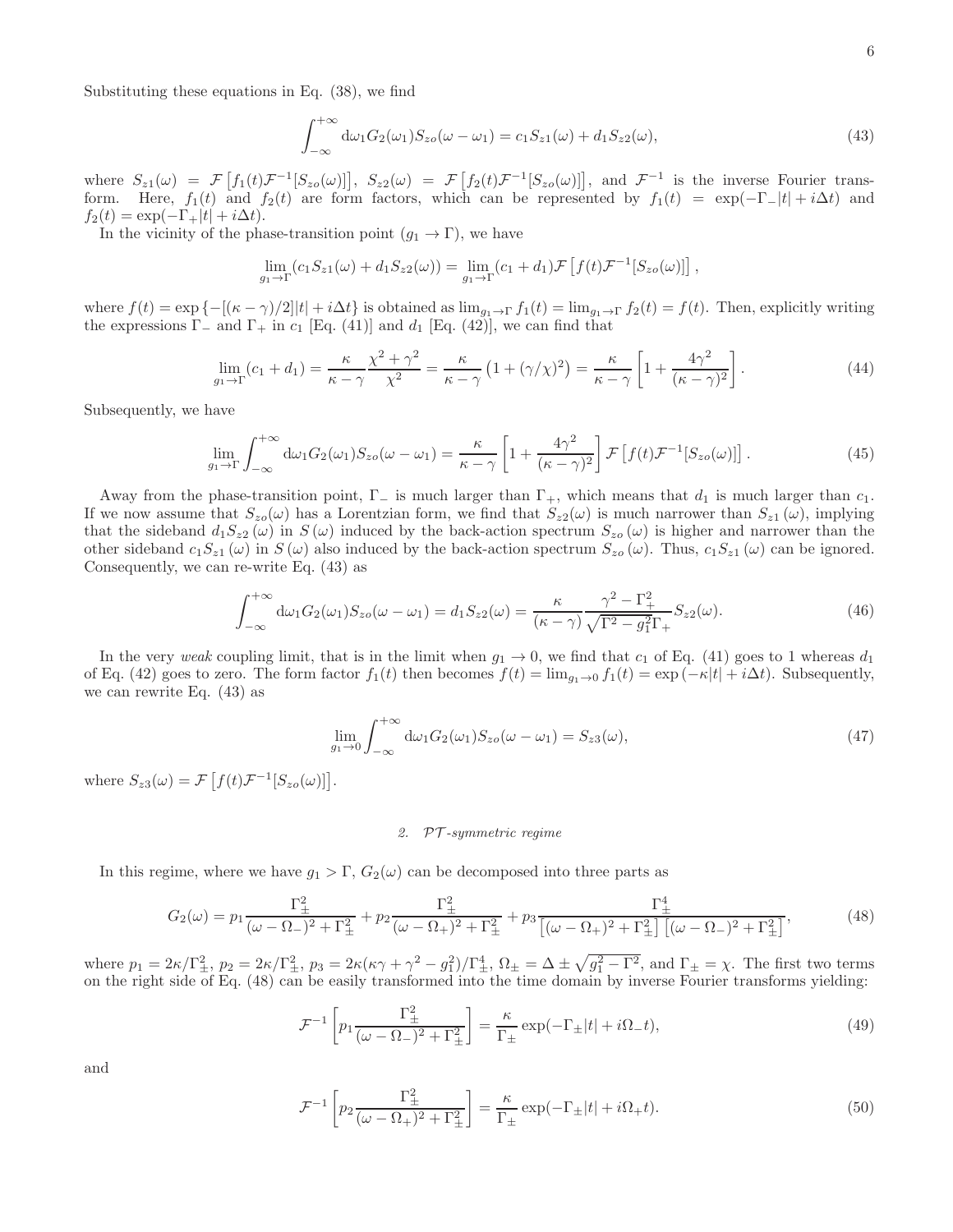Substituting these equations in Eq. (38), we find

$$
\int_{-\infty}^{+\infty} d\omega_1 G_2(\omega_1) S_{z0}(\omega - \omega_1) = c_1 S_{z1}(\omega) + d_1 S_{z2}(\omega), \tag{43}
$$

where  $S_{z1}(\omega) = \mathcal{F}\left[f_1(t)\mathcal{F}^{-1}[S_{z0}(\omega)]\right], S_{z2}(\omega) = \mathcal{F}\left[f_2(t)\mathcal{F}^{-1}[S_{z0}(\omega)]\right],$  and  $\mathcal{F}^{-1}$  is the inverse Fourier transform. Here,  $f_1(t)$  and  $f_2(t)$  are form factors, which can be represented by  $f_1(t) = \exp(-\Gamma_{-}|t| + i\Delta t)$  and  $f_2(t) = \exp(-\Gamma_+|t| + i\Delta t).$ 

In the vicinity of the phase-transition point  $(g_1 \rightarrow \Gamma)$ , we have

$$
\lim_{g_1 \to \Gamma} (c_1 S_{z1}(\omega) + d_1 S_{z2}(\omega)) = \lim_{g_1 \to \Gamma} (c_1 + d_1) \mathcal{F} \left[ f(t) \mathcal{F}^{-1} [S_{z0}(\omega)] \right],
$$

where  $f(t) = \exp \{-[(\kappa - \gamma)/2]|t| + i\Delta t\}$  is obtained as  $\lim_{g_1 \to \Gamma} f_1(t) = \lim_{g_1 \to \Gamma} f_2(t) = f(t)$ . Then, explicitly writing the expressions  $\Gamma_-$  and  $\Gamma_+$  in  $c_1$  [Eq. (41)] and  $d_1$  [Eq. (42)], we can find that

$$
\lim_{g_1 \to \Gamma} (c_1 + d_1) = \frac{\kappa}{\kappa - \gamma} \frac{\chi^2 + \gamma^2}{\chi^2} = \frac{\kappa}{\kappa - \gamma} \left( 1 + (\gamma/\chi)^2 \right) = \frac{\kappa}{\kappa - \gamma} \left[ 1 + \frac{4\gamma^2}{(\kappa - \gamma)^2} \right]. \tag{44}
$$

Subsequently, we have

$$
\lim_{g_1 \to \Gamma} \int_{-\infty}^{+\infty} d\omega_1 G_2(\omega_1) S_{zo}(\omega - \omega_1) = \frac{\kappa}{\kappa - \gamma} \left[ 1 + \frac{4\gamma^2}{(\kappa - \gamma)^2} \right] \mathcal{F} \left[ f(t) \mathcal{F}^{-1} [S_{zo}(\omega)] \right]. \tag{45}
$$

Away from the phase-transition point,  $\Gamma_{-}$  is much larger than  $\Gamma_{+}$ , which means that  $d_1$  is much larger than  $c_1$ . If we now assume that  $S_{z0}(\omega)$  has a Lorentzian form, we find that  $S_{z2}(\omega)$  is much narrower than  $S_{z1}(\omega)$ , implying that the sideband  $d_1S_{z2}(\omega)$  in  $S(\omega)$  induced by the back-action spectrum  $S_{z0}(\omega)$  is higher and narrower than the other sideband  $c_1S_{z1}(\omega)$  in  $S(\omega)$  also induced by the back-action spectrum  $S_{z0}(\omega)$ . Thus,  $c_1S_{z1}(\omega)$  can be ignored. Consequently, we can re-write Eq. (43) as

$$
\int_{-\infty}^{+\infty} d\omega_1 G_2(\omega_1) S_{zo}(\omega - \omega_1) = d_1 S_{z2}(\omega) = \frac{\kappa}{(\kappa - \gamma)} \frac{\gamma^2 - \Gamma_+^2}{\sqrt{\Gamma^2 - g_1^2} \Gamma_+} S_{z2}(\omega).
$$
 (46)

In the very weak coupling limit, that is in the limit when  $g_1 \to 0$ , we find that  $c_1$  of Eq. (41) goes to 1 whereas  $d_1$ of Eq. (42) goes to zero. The form factor  $f_1(t)$  then becomes  $f(t) = \lim_{g_1 \to 0} f_1(t) = \exp(-\kappa|t| + i\Delta t)$ . Subsequently, we can rewrite Eq. (43) as

$$
\lim_{g_1 \to 0} \int_{-\infty}^{+\infty} d\omega_1 G_2(\omega_1) S_{zo}(\omega - \omega_1) = S_{z3}(\omega), \tag{47}
$$

where  $S_{z3}(\omega) = \mathcal{F}\left[f(t)\mathcal{F}^{-1}[S_{z0}(\omega)]\right]$ .

#### *2.* PT *-symmetric regime*

In this regime, where we have  $g_1 > \Gamma$ ,  $G_2(\omega)$  can be decomposed into three parts as

F

$$
G_2(\omega) = p_1 \frac{\Gamma_{\pm}^2}{(\omega - \Omega_{-})^2 + \Gamma_{\pm}^2} + p_2 \frac{\Gamma_{\pm}^2}{(\omega - \Omega_{+})^2 + \Gamma_{\pm}^2} + p_3 \frac{\Gamma_{\pm}^4}{[(\omega - \Omega_{+})^2 + \Gamma_{\pm}^2] \left[ (\omega - \Omega_{-})^2 + \Gamma_{\pm}^2 \right]},
$$
(48)

where  $p_1 = 2\kappa/\Gamma_{\pm}^2$ ,  $p_2 = 2\kappa/\Gamma_{\pm}^2$ ,  $p_3 = 2\kappa(\kappa\gamma + \gamma^2 - g_1^2)/\Gamma_{\pm}^4$ ,  $\Omega_{\pm} = \Delta \pm \sqrt{g_1^2 - \Gamma^2}$ , and  $\Gamma_{\pm} = \chi$ . The first two terms on the right side of Eq. (48) can be easily transformed into the time domain by inverse Fourier transforms yielding:

$$
\mathcal{F}^{-1}\left[p_1 \frac{\Gamma_{\pm}^2}{(\omega - \Omega_{-})^2 + \Gamma_{\pm}^2}\right] = \frac{\kappa}{\Gamma_{\pm}} \exp(-\Gamma_{\pm}|t| + i\Omega_{-}t),\tag{49}
$$

and

$$
\mathcal{F}^{-1}\left[p_2\frac{\Gamma_{\pm}^2}{(\omega-\Omega_{+})^2+\Gamma_{\pm}^2}\right] = \frac{\kappa}{\Gamma_{\pm}}\exp(-\Gamma_{\pm}|t|+i\Omega_{+}t). \tag{50}
$$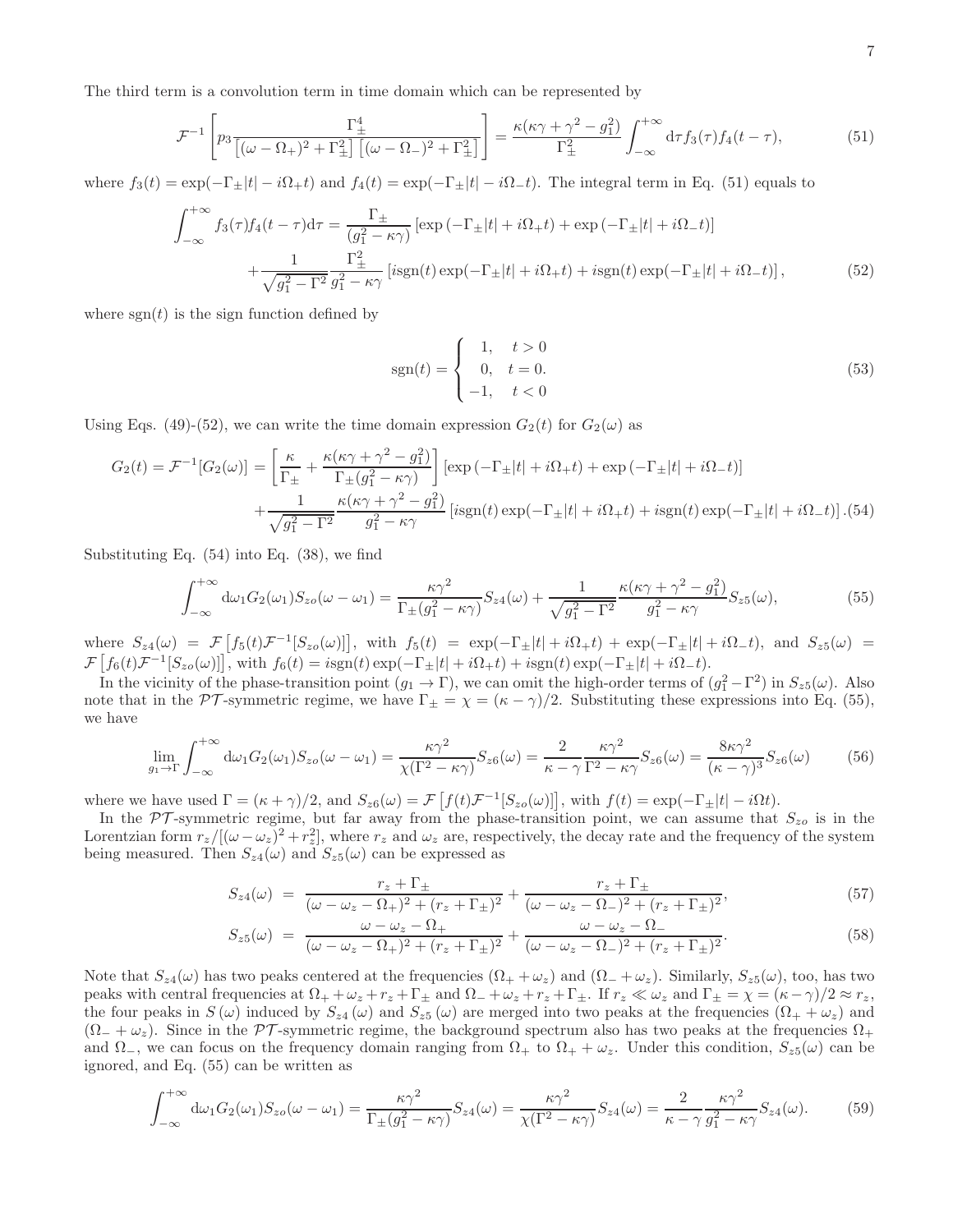The third term is a convolution term in time domain which can be represented by

$$
\mathcal{F}^{-1}\left[p_3\frac{\Gamma_{\pm}^4}{\left[(\omega-\Omega_{+})^2+\Gamma_{\pm}^2\right]\left[(\omega-\Omega_{-})^2+\Gamma_{\pm}^2\right]}\right] = \frac{\kappa(\kappa\gamma+\gamma^2-g_1^2)}{\Gamma_{\pm}^2} \int_{-\infty}^{+\infty} d\tau f_3(\tau) f_4(t-\tau),\tag{51}
$$

where  $f_3(t) = \exp(-\Gamma_{\pm}|t| - i\Omega_{+}t)$  and  $f_4(t) = \exp(-\Gamma_{\pm}|t| - i\Omega_{-}t)$ . The integral term in Eq. (51) equals to

$$
\int_{-\infty}^{+\infty} f_3(\tau) f_4(t-\tau) d\tau = \frac{\Gamma_{\pm}}{(g_1^2 - \kappa \gamma)} \left[ \exp\left(-\Gamma_{\pm}|t| + i\Omega_{+}t\right) + \exp\left(-\Gamma_{\pm}|t| + i\Omega_{-}t\right) \right] \n+ \frac{1}{\sqrt{g_1^2 - \Gamma^2}} \frac{\Gamma_{\pm}^2}{g_1^2 - \kappa \gamma} \left[ i \text{sgn}(t) \exp(-\Gamma_{\pm}|t| + i\Omega_{+}t) + i \text{sgn}(t) \exp(-\Gamma_{\pm}|t| + i\Omega_{-}t) \right],
$$
\n(52)

where  $sgn(t)$  is the sign function defined by

$$
sgn(t) = \begin{cases} 1, & t > 0 \\ 0, & t = 0. \\ -1, & t < 0 \end{cases}
$$
 (53)

Using Eqs. (49)-(52), we can write the time domain expression  $G_2(t)$  for  $G_2(\omega)$  as

$$
G_2(t) = \mathcal{F}^{-1}[G_2(\omega)] = \left[\frac{\kappa}{\Gamma_{\pm}} + \frac{\kappa(\kappa\gamma + \gamma^2 - g_1^2)}{\Gamma_{\pm}(g_1^2 - \kappa\gamma)}\right] [\exp(-\Gamma_{\pm}|t| + i\Omega_{+}t) + \exp(-\Gamma_{\pm}|t| + i\Omega_{-}t)] + \frac{1}{\sqrt{g_1^2 - \Gamma^2}} \frac{\kappa(\kappa\gamma + \gamma^2 - g_1^2)}{g_1^2 - \kappa\gamma} [i\text{sgn}(t)\exp(-\Gamma_{\pm}|t| + i\Omega_{+}t) + i\text{sgn}(t)\exp(-\Gamma_{\pm}|t| + i\Omega_{-}t)]. (54)
$$

Substituting Eq. (54) into Eq. (38), we find

$$
\int_{-\infty}^{+\infty} d\omega_1 G_2(\omega_1) S_{zo}(\omega - \omega_1) = \frac{\kappa \gamma^2}{\Gamma_{\pm}(g_1^2 - \kappa \gamma)} S_{z4}(\omega) + \frac{1}{\sqrt{g_1^2 - \Gamma^2}} \frac{\kappa(\kappa \gamma + \gamma^2 - g_1^2)}{g_1^2 - \kappa \gamma} S_{z5}(\omega),
$$
(55)

where  $S_{z4}(\omega) = \mathcal{F}\left[f_5(t)\mathcal{F}^{-1}[S_{z0}(\omega)]\right]$ , with  $f_5(t) = \exp(-\Gamma_{\pm}|t| + i\Omega_{+}t) + \exp(-\Gamma_{\pm}|t| + i\Omega_{-}t)$ , and  $S_{z5}(\omega) =$  $\mathcal{F}\left[f_6(t)\mathcal{F}^{-1}[S_{zo}(\omega)]\right],$  with  $f_6(t) = i\text{sgn}(t)\exp(-\Gamma_{\pm}|t| + i\Omega_{+}t) + i\text{sgn}(t)\exp(-\Gamma_{\pm}|t| + i\Omega_{-}t).$ 

In the vicinity of the phase-transition point  $(g_1 \to \Gamma)$ , we can omit the high-order terms of  $(g_1^2 - \Gamma^2)$  in  $S_{z5}(\omega)$ . Also note that in the PT-symmetric regime, we have  $\Gamma_{\pm} = \chi = (\kappa - \gamma)/2$ . Substituting these expressions into Eq. (55), we have

$$
\lim_{g_1 \to \Gamma} \int_{-\infty}^{+\infty} d\omega_1 G_2(\omega_1) S_{zo}(\omega - \omega_1) = \frac{\kappa \gamma^2}{\chi(\Gamma^2 - \kappa \gamma)} S_{z6}(\omega) = \frac{2}{\kappa - \gamma} \frac{\kappa \gamma^2}{\Gamma^2 - \kappa \gamma} S_{z6}(\omega) = \frac{8\kappa \gamma^2}{(\kappa - \gamma)^3} S_{z6}(\omega)
$$
(56)

where we have used  $\Gamma = (\kappa + \gamma)/2$ , and  $S_{z6}(\omega) = \mathcal{F}\left[f(t)\mathcal{F}^{-1}[S_{z0}(\omega)]\right]$ , with  $f(t) = \exp(-\Gamma_{\pm}|t| - i\Omega t)$ .

In the  $\mathcal{PT}$ -symmetric regime, but far away from the phase-transition point, we can assume that  $S_{z0}$  is in the Lorentzian form  $r_z/[(\omega - \omega_z)^2 + r_z^2]$ , where  $r_z$  and  $\omega_z$  are, respectively, the decay rate and the frequency of the system being measured. Then  $S_{z4}(\omega)$  and  $S_{z5}(\omega)$  can be expressed as

$$
S_{z4}(\omega) = \frac{r_z + \Gamma_{\pm}}{(\omega - \omega_z - \Omega_{+})^2 + (r_z + \Gamma_{\pm})^2} + \frac{r_z + \Gamma_{\pm}}{(\omega - \omega_z - \Omega_{-})^2 + (r_z + \Gamma_{\pm})^2},
$$
(57)

$$
S_{z5}(\omega) = \frac{\omega - \omega_z - \Omega_+}{(\omega - \omega_z - \Omega_+)^2 + (r_z + \Gamma_\pm)^2} + \frac{\omega - \omega_z - \Omega_-}{(\omega - \omega_z - \Omega_-)^2 + (r_z + \Gamma_\pm)^2}.
$$
(58)

Note that  $S_{z4}(\omega)$  has two peaks centered at the frequencies  $(\Omega_+ + \omega_z)$  and  $(\Omega_- + \omega_z)$ . Similarly,  $S_{z5}(\omega)$ , too, has two peaks with central frequencies at  $\Omega_+ + \omega_z + r_z + \Gamma_{\pm}$  and  $\Omega_- + \omega_z + r_z + \Gamma_{\pm}$ . If  $r_z \ll \omega_z$  and  $\Gamma_{\pm} = \chi = (\kappa - \gamma)/2 \approx r_z$ , the four peaks in  $S(\omega)$  induced by  $S_{z4}(\omega)$  and  $S_{z5}(\omega)$  are merged into two peaks at the frequencies  $(\Omega_+ + \omega_z)$  and  $(\Omega_{-} + \omega_{z})$ . Since in the PT-symmetric regime, the background spectrum also has two peaks at the frequencies  $\Omega_{+}$ and  $\Omega_+$ , we can focus on the frequency domain ranging from  $\Omega_+$  to  $\Omega_+ + \omega_z$ . Under this condition,  $S_{z5}(\omega)$  can be ignored, and Eq. (55) can be written as

$$
\int_{-\infty}^{+\infty} d\omega_1 G_2(\omega_1) S_{z0}(\omega - \omega_1) = \frac{\kappa \gamma^2}{\Gamma_{\pm}(g_1^2 - \kappa \gamma)} S_{z4}(\omega) = \frac{\kappa \gamma^2}{\chi(\Gamma^2 - \kappa \gamma)} S_{z4}(\omega) = \frac{2}{\kappa - \gamma} \frac{\kappa \gamma^2}{g_1^2 - \kappa \gamma} S_{z4}(\omega). \tag{59}
$$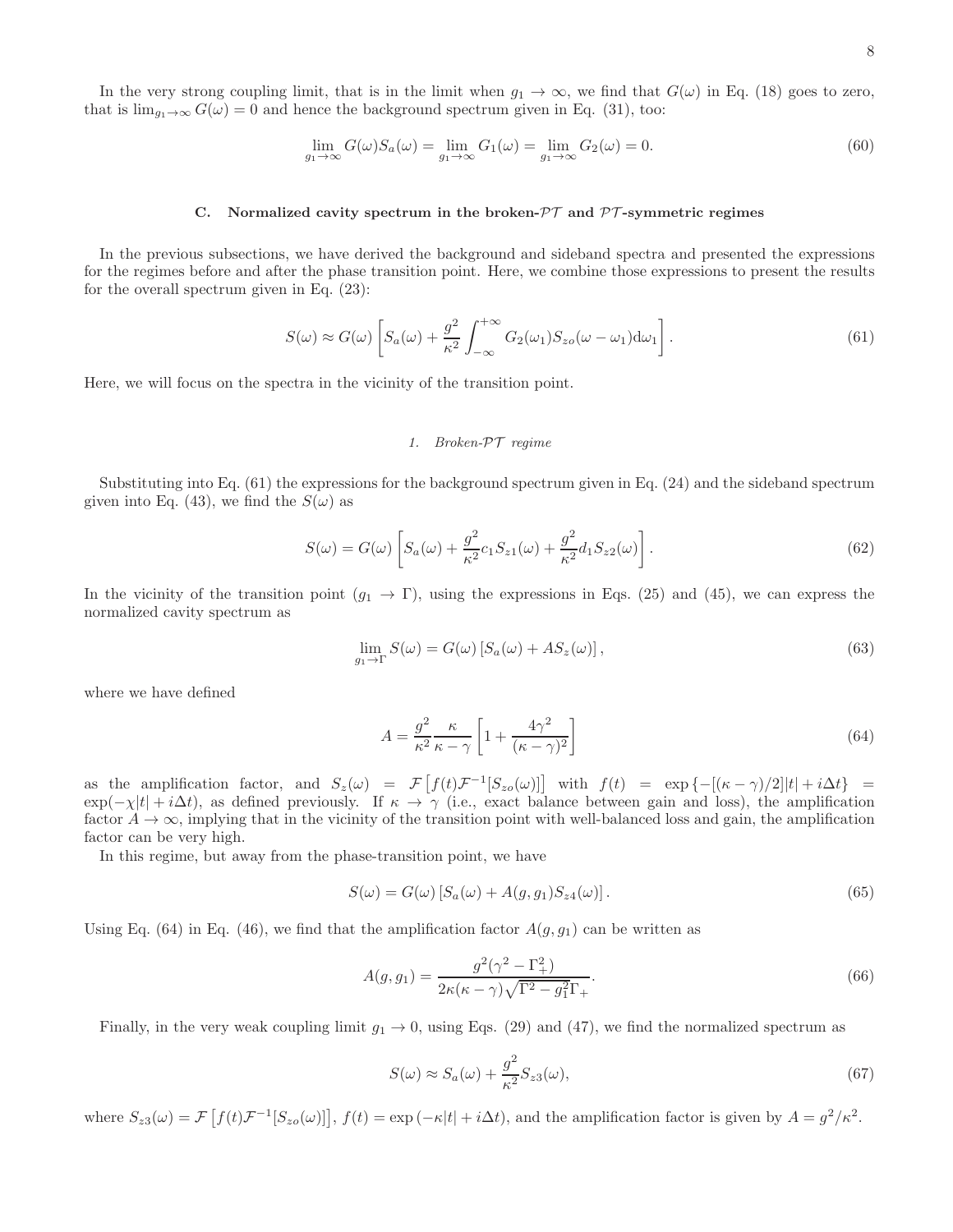In the very strong coupling limit, that is in the limit when  $g_1 \to \infty$ , we find that  $G(\omega)$  in Eq. (18) goes to zero, that is  $\lim_{g_1 \to \infty} G(\omega) = 0$  and hence the background spectrum given in Eq. (31), too:

$$
\lim_{g_1 \to \infty} G(\omega) S_a(\omega) = \lim_{g_1 \to \infty} G_1(\omega) = \lim_{g_1 \to \infty} G_2(\omega) = 0.
$$
\n(60)

#### C. Normalized cavity spectrum in the broken- $\mathcal{PT}$  and  $\mathcal{PT}$ -symmetric regimes

In the previous subsections, we have derived the background and sideband spectra and presented the expressions for the regimes before and after the phase transition point. Here, we combine those expressions to present the results for the overall spectrum given in Eq. (23):

$$
S(\omega) \approx G(\omega) \left[ S_a(\omega) + \frac{g^2}{\kappa^2} \int_{-\infty}^{+\infty} G_2(\omega_1) S_{z\sigma}(\omega - \omega_1) d\omega_1 \right].
$$
 (61)

Here, we will focus on the spectra in the vicinity of the transition point.

## *1. Broken-*PT *regime*

Substituting into Eq. (61) the expressions for the background spectrum given in Eq. (24) and the sideband spectrum given into Eq. (43), we find the  $S(\omega)$  as

$$
S(\omega) = G(\omega) \left[ S_a(\omega) + \frac{g^2}{\kappa^2} c_1 S_{z1}(\omega) + \frac{g^2}{\kappa^2} d_1 S_{z2}(\omega) \right].
$$
 (62)

In the vicinity of the transition point  $(g_1 \to \Gamma)$ , using the expressions in Eqs. (25) and (45), we can express the normalized cavity spectrum as

$$
\lim_{g_1 \to \Gamma} S(\omega) = G(\omega) \left[ S_a(\omega) + AS_z(\omega) \right],\tag{63}
$$

where we have defined

$$
A = \frac{g^2}{\kappa^2} \frac{\kappa}{\kappa - \gamma} \left[ 1 + \frac{4\gamma^2}{(\kappa - \gamma)^2} \right] \tag{64}
$$

as the amplification factor, and  $S_z(\omega) = \mathcal{F}[f(t)\mathcal{F}^{-1}[S_{zo}(\omega)]]$  with  $f(t) = \exp\{-[(\kappa - \gamma)/2]|t| + i\Delta t\}$  $\exp(-\chi|t| + i\Delta t)$ , as defined previously. If  $\kappa \to \gamma$  (i.e., exact balance between gain and loss), the amplification factor  $A \to \infty$ , implying that in the vicinity of the transition point with well-balanced loss and gain, the amplification factor can be very high.

In this regime, but away from the phase-transition point, we have

$$
S(\omega) = G(\omega) \left[ S_a(\omega) + A(g, g_1) S_{z4}(\omega) \right]. \tag{65}
$$

Using Eq. (64) in Eq. (46), we find that the amplification factor  $A(g, g_1)$  can be written as

$$
A(g, g_1) = \frac{g^2(\gamma^2 - \Gamma_+^2)}{2\kappa(\kappa - \gamma)\sqrt{\Gamma^2 - g_1^2}\Gamma_+}.
$$
\n(66)

Finally, in the very weak coupling limit  $g_1 \to 0$ , using Eqs. (29) and (47), we find the normalized spectrum as

$$
S(\omega) \approx S_a(\omega) + \frac{g^2}{\kappa^2} S_{z3}(\omega),\tag{67}
$$

where  $S_{z3}(\omega) = \mathcal{F}\left[f(t)\mathcal{F}^{-1}[S_{z0}(\omega)]\right], f(t) = \exp(-\kappa|t| + i\Delta t)$ , and the amplification factor is given by  $A = g^2/\kappa^2$ .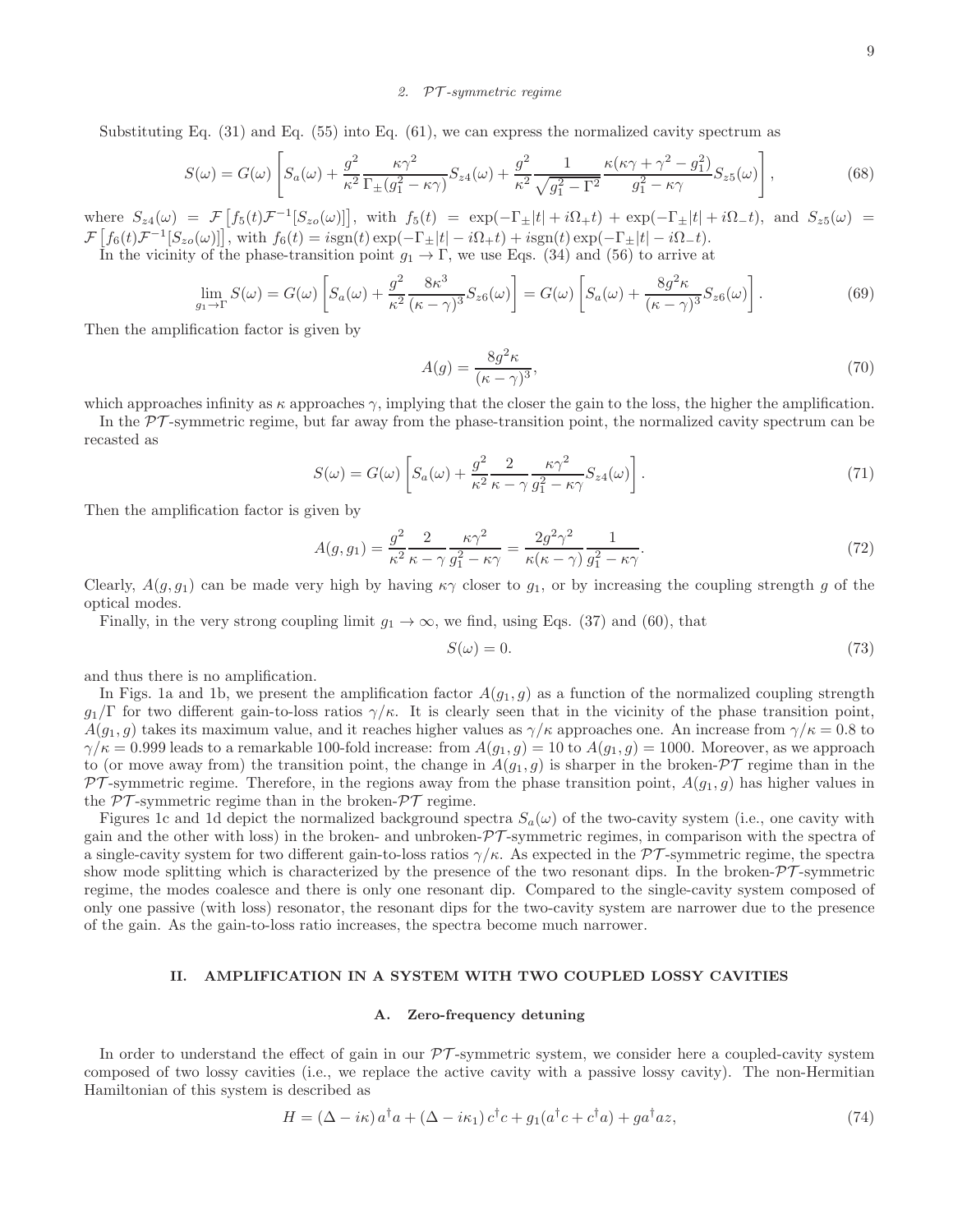#### *2.* PT *-symmetric regime*

Substituting Eq. (31) and Eq. (55) into Eq. (61), we can express the normalized cavity spectrum as

$$
S(\omega) = G(\omega) \left[ S_a(\omega) + \frac{g^2}{\kappa^2} \frac{\kappa \gamma^2}{\Gamma_\pm (g_1^2 - \kappa \gamma)} S_{z4}(\omega) + \frac{g^2}{\kappa^2} \frac{1}{\sqrt{g_1^2 - \Gamma^2}} \frac{\kappa (\kappa \gamma + \gamma^2 - g_1^2)}{g_1^2 - \kappa \gamma} S_{z5}(\omega) \right],\tag{68}
$$

where  $S_{z4}(\omega) = \mathcal{F}\left[f_5(t)\mathcal{F}^{-1}[S_{z0}(\omega)]\right]$ , with  $f_5(t) = \exp(-\Gamma_{\pm}|t| + i\Omega_{+}t) + \exp(-\Gamma_{\pm}|t| + i\Omega_{-}t)$ , and  $S_{z5}(\omega) =$  $\mathcal{F}\left[f_6(t)\mathcal{F}^{-1}[S_{zo}(\omega)]\right]$ , with  $f_6(t) = i\text{sgn}(t)\exp(-\Gamma_{\pm}|t| - i\Omega_{+}t) + i\text{sgn}(t)\exp(-\Gamma_{\pm}|t| - i\Omega_{-}t).$ 

In the vicinity of the phase-transition point  $g_1 \rightarrow \Gamma$ , we use Eqs. (34) and (56) to arrive at

$$
\lim_{g_1 \to \Gamma} S(\omega) = G(\omega) \left[ S_a(\omega) + \frac{g^2}{\kappa^2} \frac{8\kappa^3}{(\kappa - \gamma)^3} S_{z6}(\omega) \right] = G(\omega) \left[ S_a(\omega) + \frac{8g^2 \kappa}{(\kappa - \gamma)^3} S_{z6}(\omega) \right].
$$
\n(69)

Then the amplification factor is given by

$$
A(g) = \frac{8g^2\kappa}{(\kappa - \gamma)^3},\tag{70}
$$

which approaches infinity as  $\kappa$  approaches  $\gamma$ , implying that the closer the gain to the loss, the higher the amplification.

In the  $\mathcal{PT}$ -symmetric regime, but far away from the phase-transition point, the normalized cavity spectrum can be recasted as

$$
S(\omega) = G(\omega) \left[ S_a(\omega) + \frac{g^2}{\kappa^2} \frac{2}{\kappa - \gamma} \frac{\kappa \gamma^2}{g_1^2 - \kappa \gamma} S_{z4}(\omega) \right]. \tag{71}
$$

Then the amplification factor is given by

$$
A(g, g_1) = \frac{g^2}{\kappa^2} \frac{2}{\kappa - \gamma} \frac{\kappa \gamma^2}{g_1^2 - \kappa \gamma} = \frac{2g^2 \gamma^2}{\kappa(\kappa - \gamma)} \frac{1}{g_1^2 - \kappa \gamma}.
$$
 (72)

Clearly,  $A(g, g_1)$  can be made very high by having  $\kappa \gamma$  closer to  $g_1$ , or by increasing the coupling strength g of the optical modes.

Finally, in the very strong coupling limit  $g_1 \to \infty$ , we find, using Eqs. (37) and (60), that

$$
S(\omega) = 0.\t(73)
$$

and thus there is no amplification.

In Figs. 1a and 1b, we present the amplification factor  $A(g_1, g)$  as a function of the normalized coupling strength  $g_1/\Gamma$  for two different gain-to-loss ratios  $\gamma/\kappa$ . It is clearly seen that in the vicinity of the phase transition point,  $A(g_1, g)$  takes its maximum value, and it reaches higher values as  $\gamma/\kappa$  approaches one. An increase from  $\gamma/\kappa = 0.8$  to  $\gamma/\kappa = 0.999$  leads to a remarkable 100-fold increase: from  $A(g_1, g) = 10$  to  $A(g_1, g) = 1000$ . Moreover, as we approach to (or move away from) the transition point, the change in  $A(g_1, g)$  is sharper in the broken- $\mathcal{PT}$  regime than in the  $PT$ -symmetric regime. Therefore, in the regions away from the phase transition point,  $A(g_1, g)$  has higher values in the  $\mathcal{PT}$ -symmetric regime than in the broken- $\mathcal{PT}$  regime.

Figures 1c and 1d depict the normalized background spectra  $S_a(\omega)$  of the two-cavity system (i.e., one cavity with gain and the other with loss) in the broken- and unbroken- $\mathcal{PT}$ -symmetric regimes, in comparison with the spectra of a single-cavity system for two different gain-to-loss ratios  $\gamma/\kappa$ . As expected in the PT-symmetric regime, the spectra show mode splitting which is characterized by the presence of the two resonant dips. In the broken- $\mathcal{PT}$ -symmetric regime, the modes coalesce and there is only one resonant dip. Compared to the single-cavity system composed of only one passive (with loss) resonator, the resonant dips for the two-cavity system are narrower due to the presence of the gain. As the gain-to-loss ratio increases, the spectra become much narrower.

### II. AMPLIFICATION IN A SYSTEM WITH TWO COUPLED LOSSY CAVITIES

#### A. Zero-frequency detuning

In order to understand the effect of gain in our  $\mathcal{PT}$ -symmetric system, we consider here a coupled-cavity system composed of two lossy cavities (i.e., we replace the active cavity with a passive lossy cavity). The non-Hermitian Hamiltonian of this system is described as

$$
H = (\Delta - i\kappa) a^{\dagger} a + (\Delta - i\kappa_1) c^{\dagger} c + g_1 (a^{\dagger} c + c^{\dagger} a) + g a^{\dagger} a z,
$$
\n
$$
(74)
$$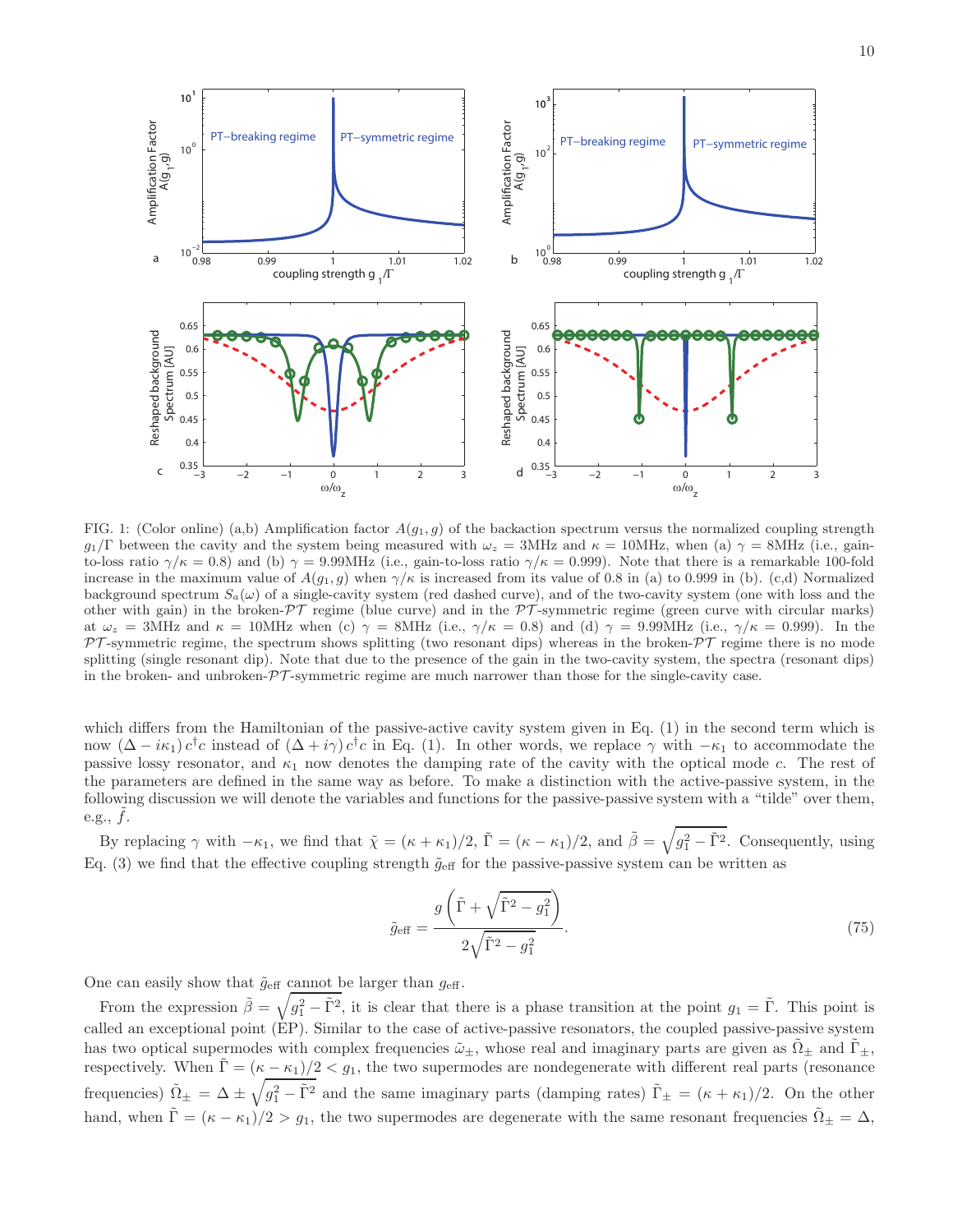

FIG. 1: (Color online) (a,b) Amplification factor  $A(g_1, g)$  of the backaction spectrum versus the normalized coupling strength  $g_1/\Gamma$  between the cavity and the system being measured with  $\omega_z = 3$ MHz and  $\kappa = 10$ MHz, when (a)  $\gamma = 8$ MHz (i.e., gainto-loss ratio  $\gamma/\kappa = 0.8$ ) and (b)  $\gamma = 9.99$ MHz (i.e., gain-to-loss ratio  $\gamma/\kappa = 0.999$ ). Note that there is a remarkable 100-fold increase in the maximum value of  $A(g_1, g)$  when  $\gamma/\kappa$  is increased from its value of 0.8 in (a) to 0.999 in (b). (c,d) Normalized background spectrum  $S_a(\omega)$  of a single-cavity system (red dashed curve), and of the two-cavity system (one with loss and the other with gain) in the broken- $\mathcal{PT}$  regime (blue curve) and in the  $\mathcal{PT}$ -symmetric regime (green curve with circular marks) at  $\omega_z = 3$ MHz and  $\kappa = 10$ MHz when (c)  $\gamma = 8$ MHz (i.e.,  $\gamma/\kappa = 0.8$ ) and (d)  $\gamma = 9.99$ MHz (i.e.,  $\gamma/\kappa = 0.999$ ). In the  $PT$ -symmetric regime, the spectrum shows splitting (two resonant dips) whereas in the broken- $PT$  regime there is no mode splitting (single resonant dip). Note that due to the presence of the gain in the two-cavity system, the spectra (resonant dips) in the broken- and unbroken- $\mathcal{PT}$ -symmetric regime are much narrower than those for the single-cavity case.

which differs from the Hamiltonian of the passive-active cavity system given in Eq. (1) in the second term which is now  $(\Delta - i\kappa_1) c^{\dagger}c$  instead of  $(\Delta + i\gamma) c^{\dagger}c$  in Eq. (1). In other words, we replace  $\gamma$  with  $-\kappa_1$  to accommodate the passive lossy resonator, and  $\kappa_1$  now denotes the damping rate of the cavity with the optical mode c. The rest of the parameters are defined in the same way as before. To make a distinction with the active-passive system, in the following discussion we will denote the variables and functions for the passive-passive system with a "tilde" over them, e.g.,  $f$ .

By replacing  $\gamma$  with  $-\kappa_1$ , we find that  $\tilde{\chi} = (\kappa + \kappa_1)/2$ ,  $\tilde{\Gamma} = (\kappa - \kappa_1)/2$ , and  $\tilde{\beta} = \sqrt{g_1^2 - \tilde{\Gamma}^2}$ . Consequently, using Eq. (3) we find that the effective coupling strength  $\tilde{g}_{\text{eff}}$  for the passive-passive system can be written as

$$
\tilde{g}_{\text{eff}} = \frac{g\left(\tilde{\Gamma} + \sqrt{\tilde{\Gamma}^2 - g_1^2}\right)}{2\sqrt{\tilde{\Gamma}^2 - g_1^2}}.
$$
\n(75)

One can easily show that  $\tilde{g}_{\text{eff}}$  cannot be larger than  $g_{\text{eff}}$ .

From the expression  $\tilde{\beta} = \sqrt{g_1^2 - \tilde{\Gamma}^2}$ , it is clear that there is a phase transition at the point  $g_1 = \tilde{\Gamma}$ . This point is called an exceptional point (EP). Similar to the case of active-passive resonators, the coupled passive-passive system has two optical supermodes with complex frequencies  $\tilde{\omega}_{\pm}$ , whose real and imaginary parts are given as  $\tilde{\Omega}_{\pm}$  and  $\tilde{\Gamma}_{\pm}$ , respectively. When  $\Gamma = (\kappa - \kappa_1)/2 < g_1$ , the two supermodes are nondegenerate with different real parts (resonance frequencies)  $\tilde{\Omega}_{\pm} = \Delta \pm \sqrt{g_1^2 - \tilde{\Gamma}^2}$  and the same imaginary parts (damping rates)  $\tilde{\Gamma}_{\pm} = (\kappa + \kappa_1)/2$ . On the other hand, when  $\tilde{\Gamma} = (\kappa - \kappa_1)/2 > g_1$ , the two supermodes are degenerate with the same resonant frequencies  $\tilde{\Omega}_{\pm} = \Delta$ ,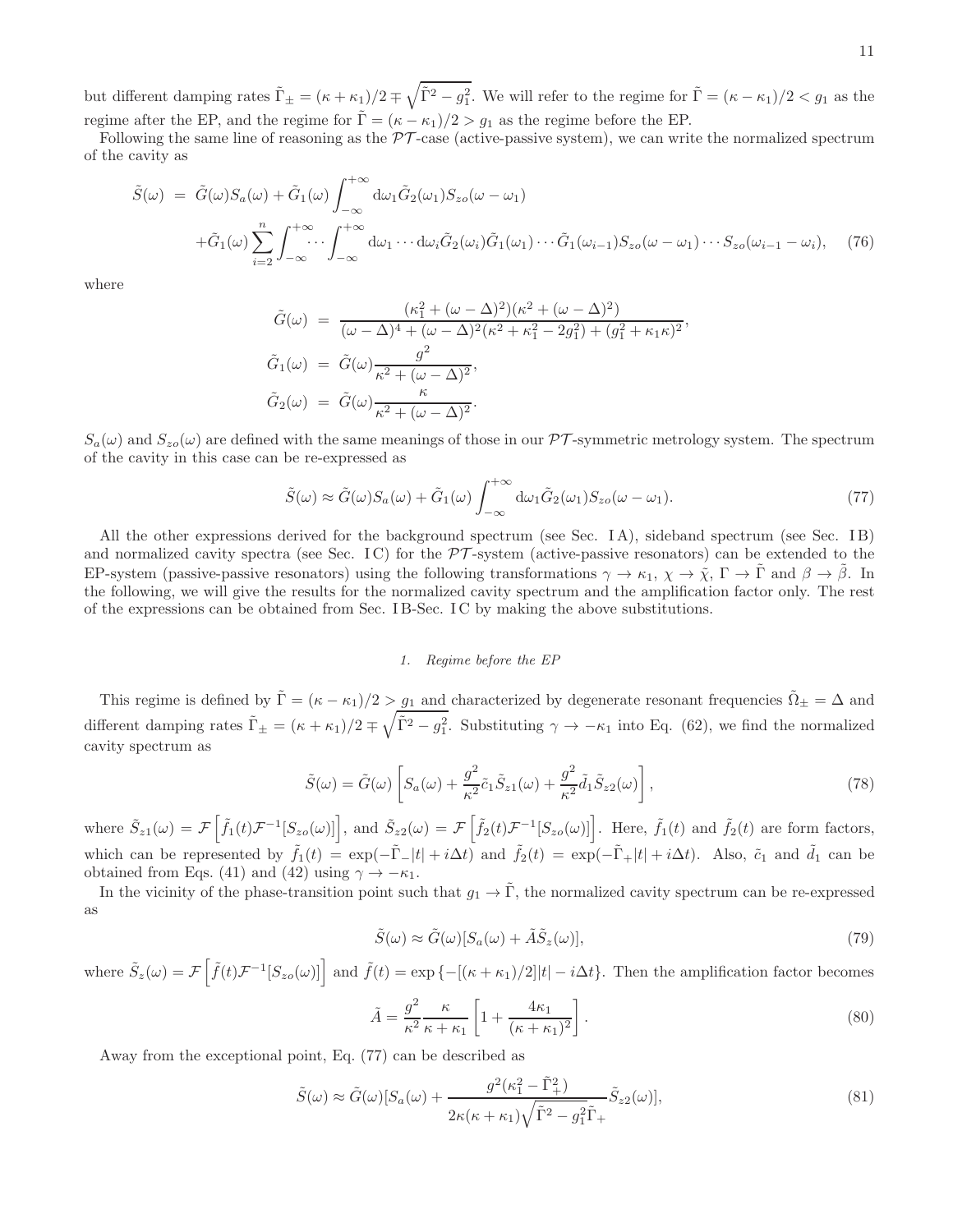but different damping rates  $\tilde{\Gamma}_{\pm} = (\kappa + \kappa_1)/2 \mp \sqrt{\tilde{\Gamma}^2 - g_1^2}$ . We will refer to the regime for  $\tilde{\Gamma} = (\kappa - \kappa_1)/2 < g_1$  as the regime after the EP, and the regime for  $\tilde{\Gamma} = (\kappa - \kappa_1)/2 > g_1$  as the regime before the EP.

Following the same line of reasoning as the  $\mathcal{PT}$ -case (active-passive system), we can write the normalized spectrum of the cavity as

$$
\tilde{S}(\omega) = \tilde{G}(\omega)S_a(\omega) + \tilde{G}_1(\omega)\int_{-\infty}^{+\infty} d\omega_1 \tilde{G}_2(\omega_1)S_{zo}(\omega - \omega_1) \n+ \tilde{G}_1(\omega)\sum_{i=2}^n \int_{-\infty}^{+\infty} \cdots \int_{-\infty}^{+\infty} d\omega_1 \cdots d\omega_i \tilde{G}_2(\omega_i) \tilde{G}_1(\omega_1) \cdots \tilde{G}_1(\omega_{i-1})S_{zo}(\omega - \omega_1) \cdots S_{zo}(\omega_{i-1} - \omega_i),
$$
\n(76)

where

$$
\tilde{G}(\omega) = \frac{(\kappa_1^2 + (\omega - \Delta)^2)(\kappa^2 + (\omega - \Delta)^2)}{(\omega - \Delta)^4 + (\omega - \Delta)^2(\kappa^2 + \kappa_1^2 - 2g_1^2) + (g_1^2 + \kappa_1\kappa)^2}, \n\tilde{G}_1(\omega) = \tilde{G}(\omega) \frac{g^2}{\kappa^2 + (\omega - \Delta)^2}, \n\tilde{G}_2(\omega) = \tilde{G}(\omega) \frac{\kappa}{\kappa^2 + (\omega - \Delta)^2}.
$$

 $S_a(\omega)$  and  $S_{zo}(\omega)$  are defined with the same meanings of those in our PT-symmetric metrology system. The spectrum of the cavity in this case can be re-expressed as

$$
\tilde{S}(\omega) \approx \tilde{G}(\omega)S_a(\omega) + \tilde{G}_1(\omega) \int_{-\infty}^{+\infty} d\omega_1 \tilde{G}_2(\omega_1)S_{zo}(\omega - \omega_1).
$$
\n(77)

All the other expressions derived for the background spectrum (see Sec. I A), sideband spectrum (see Sec. I B) and normalized cavity spectra (see Sec. IC) for the  $\mathcal{PT}$ -system (active-passive resonators) can be extended to the EP-system (passive-passive resonators) using the following transformations  $\gamma \to \kappa_1$ ,  $\chi \to \tilde{\chi}$ ,  $\Gamma \to \tilde{\Gamma}$  and  $\beta \to \tilde{\beta}$ . In the following, we will give the results for the normalized cavity spectrum and the amplification factor only. The rest of the expressions can be obtained from Sec. I B-Sec. I C by making the above substitutions.

## *1. Regime before the EP*

This regime is defined by  $\tilde{\Gamma} = (\kappa - \kappa_1)/2 > g_1$  and characterized by degenerate resonant frequencies  $\tilde{\Omega}_{\pm} = \Delta$  and different damping rates  $\tilde{\Gamma}_{\pm} = (\kappa + \kappa_1)/2 \mp \sqrt{\tilde{\Gamma}^2 - g_1^2}$ . Substituting  $\gamma \to -\kappa_1$  into Eq. (62), we find the normalized cavity spectrum as

$$
\tilde{S}(\omega) = \tilde{G}(\omega) \left[ S_a(\omega) + \frac{g^2}{\kappa^2} \tilde{c}_1 \tilde{S}_{z1}(\omega) + \frac{g^2}{\kappa^2} \tilde{d}_1 \tilde{S}_{z2}(\omega) \right],\tag{78}
$$

where  $\tilde{S}_{z1}(\omega) = \mathcal{F}\left[\tilde{f}_1(t)\mathcal{F}^{-1}[S_{z0}(\omega)]\right]$ , and  $\tilde{S}_{z2}(\omega) = \mathcal{F}\left[\tilde{f}_2(t)\mathcal{F}^{-1}[S_{z0}(\omega)]\right]$ . Here,  $\tilde{f}_1(t)$  and  $\tilde{f}_2(t)$  are form factors, which can be represented by  $\tilde{f}_1(t) = \exp(-\tilde{\Gamma}_-|t| + i\Delta t)$  and  $\tilde{f}_2(t) = \exp(-\tilde{\Gamma}_+|t| + i\Delta t)$ . Also,  $\tilde{c}_1$  and  $\tilde{d}_1$  can be obtained from Eqs. (41) and (42) using  $\gamma \to -\kappa_1$ .

In the vicinity of the phase-transition point such that  $g_1 \to \tilde{\Gamma}$ , the normalized cavity spectrum can be re-expressed as

$$
\tilde{S}(\omega) \approx \tilde{G}(\omega)[S_a(\omega) + \tilde{A}\tilde{S}_z(\omega)],\tag{79}
$$

where  $\tilde{S}_z(\omega) = \mathcal{F}\left[\tilde{f}(t)\mathcal{F}^{-1}[S_{z\sigma}(\omega)]\right]$  and  $\tilde{f}(t) = \exp\left\{-[(\kappa + \kappa_1)/2]|t| - i\Delta t\right\}$ . Then the amplification factor becomes

$$
\tilde{A} = \frac{g^2}{\kappa^2} \frac{\kappa}{\kappa + \kappa_1} \left[ 1 + \frac{4\kappa_1}{(\kappa + \kappa_1)^2} \right].
$$
\n(80)

Away from the exceptional point, Eq. (77) can be described as

$$
\tilde{S}(\omega) \approx \tilde{G}(\omega)[S_a(\omega) + \frac{g^2(\kappa_1^2 - \tilde{\Gamma}_+^2)}{2\kappa(\kappa + \kappa_1)\sqrt{\tilde{\Gamma}^2 - g_1^2}\tilde{\Gamma}_+}\tilde{S}_{z2}(\omega)],
$$
\n(81)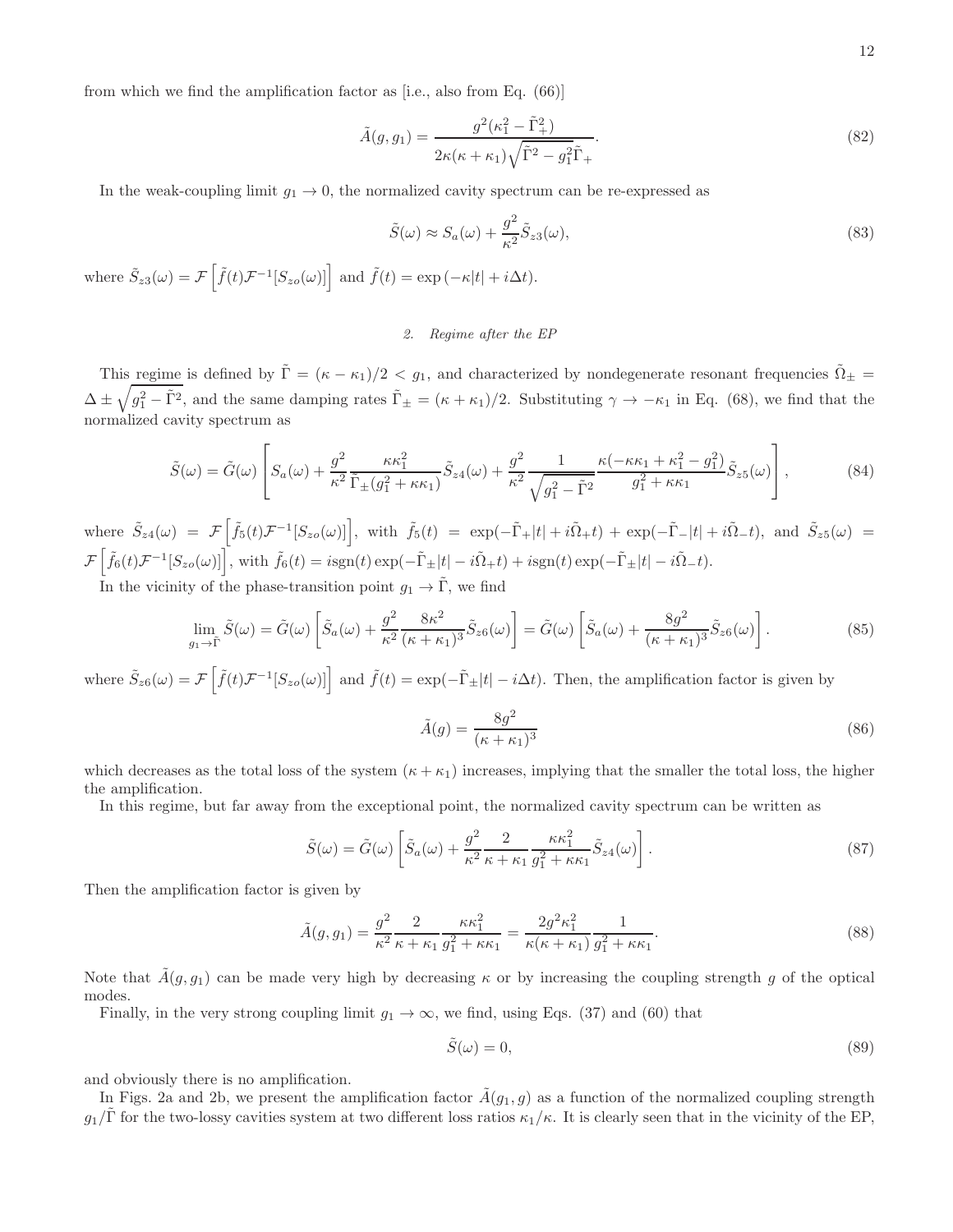from which we find the amplification factor as [i.e., also from Eq. (66)]

$$
\tilde{A}(g,g_1) = \frac{g^2(\kappa_1^2 - \tilde{\Gamma}_+^2)}{2\kappa(\kappa + \kappa_1)\sqrt{\tilde{\Gamma}^2 - g_1^2}\tilde{\Gamma}_+}.
$$
\n(82)

In the weak-coupling limit  $g_1 \to 0$ , the normalized cavity spectrum can be re-expressed as

$$
\tilde{S}(\omega) \approx S_a(\omega) + \frac{g^2}{\kappa^2} \tilde{S}_{z3}(\omega),\tag{83}
$$

where  $\tilde{S}_{z3}(\omega) = \mathcal{F}\left[\tilde{f}(t)\mathcal{F}^{-1}[S_{zo}(\omega)]\right]$  and  $\tilde{f}(t) = \exp(-\kappa|t| + i\Delta t)$ .

# *2. Regime after the EP*

This regime is defined by  $\tilde{\Gamma} = (\kappa - \kappa_1)/2 < g_1$ , and characterized by nondegenerate resonant frequencies  $\tilde{\Omega}_{\pm} =$  $\Delta \pm \sqrt{g_1^2 - \tilde{\Gamma}^2}$ , and the same damping rates  $\tilde{\Gamma}_{\pm} = (\kappa + \kappa_1)/2$ . Substituting  $\gamma \to -\kappa_1$  in Eq. (68), we find that the normalized cavity spectrum as

$$
\tilde{S}(\omega) = \tilde{G}(\omega) \left[ S_a(\omega) + \frac{g^2}{\kappa^2} \frac{\kappa \kappa_1^2}{\tilde{\Gamma}_{\pm}(g_1^2 + \kappa \kappa_1)} \tilde{S}_{z4}(\omega) + \frac{g^2}{\kappa^2} \frac{1}{\sqrt{g_1^2 - \tilde{\Gamma}^2}} \frac{\kappa (-\kappa \kappa_1 + \kappa_1^2 - g_1^2)}{g_1^2 + \kappa \kappa_1} \tilde{S}_{z5}(\omega) \right],
$$
\n(84)

where  $\tilde{S}_{z4}(\omega) = \mathcal{F}\left[\tilde{f}_5(t)\mathcal{F}^{-1}[S_{zo}(\omega)]\right]$ , with  $\tilde{f}_5(t) = \exp(-\tilde{\Gamma}_+|t| + i\tilde{\Omega}_+t) + \exp(-\tilde{\Gamma}_-|t| + i\tilde{\Omega}_-t)$ , and  $\tilde{S}_{z5}(\omega) =$  $\mathcal{F}\left[\tilde{f}_6(t)\mathcal{F}^{-1}[S_{zo}(\omega)]\right],$  with  $\tilde{f}_6(t) = i\text{sgn}(t)\exp(-\tilde{\Gamma}_{\pm}|t| - i\tilde{\Omega}_{+}t) + i\text{sgn}(t)\exp(-\tilde{\Gamma}_{\pm}|t| - i\tilde{\Omega}_{-}t).$ 

In the vicinity of the phase-transition point  $g_1 \to \tilde{\Gamma}$ , we find

$$
\lim_{g_1 \to \tilde{\Gamma}} \tilde{S}(\omega) = \tilde{G}(\omega) \left[ \tilde{S}_a(\omega) + \frac{g^2}{\kappa^2} \frac{8\kappa^2}{(\kappa + \kappa_1)^3} \tilde{S}_{z6}(\omega) \right] = \tilde{G}(\omega) \left[ \tilde{S}_a(\omega) + \frac{8g^2}{(\kappa + \kappa_1)^3} \tilde{S}_{z6}(\omega) \right].
$$
\n(85)

where  $\tilde{S}_{z6}(\omega) = \mathcal{F}\left[\tilde{f}(t)\mathcal{F}^{-1}[S_{z0}(\omega)]\right]$  and  $\tilde{f}(t) = \exp(-\tilde{\Gamma}_{\pm}|t| - i\Delta t)$ . Then, the amplification factor is given by

$$
\tilde{A}(g) = \frac{8g^2}{(\kappa + \kappa_1)^3} \tag{86}
$$

which decreases as the total loss of the system  $(\kappa + \kappa_1)$  increases, implying that the smaller the total loss, the higher the amplification.

In this regime, but far away from the exceptional point, the normalized cavity spectrum can be written as

$$
\tilde{S}(\omega) = \tilde{G}(\omega) \left[ \tilde{S}_a(\omega) + \frac{g^2}{\kappa^2} \frac{2}{\kappa + \kappa_1} \frac{\kappa \kappa_1^2}{g_1^2 + \kappa \kappa_1} \tilde{S}_{z4}(\omega) \right]. \tag{87}
$$

Then the amplification factor is given by

$$
\tilde{A}(g,g_1) = \frac{g^2}{\kappa^2} \frac{2}{\kappa + \kappa_1} \frac{\kappa \kappa_1^2}{g_1^2 + \kappa \kappa_1} = \frac{2g^2 \kappa_1^2}{\kappa(\kappa + \kappa_1)} \frac{1}{g_1^2 + \kappa \kappa_1}.
$$
\n(88)

Note that  $\hat{A}(g, g_1)$  can be made very high by decreasing  $\kappa$  or by increasing the coupling strength g of the optical modes.

Finally, in the very strong coupling limit  $g_1 \to \infty$ , we find, using Eqs. (37) and (60) that

$$
\tilde{S}(\omega) = 0,\tag{89}
$$

and obviously there is no amplification.

In Figs. 2a and 2b, we present the amplification factor  $\tilde{A}(g_1, g)$  as a function of the normalized coupling strength  $g_1/\Gamma$  for the two-lossy cavities system at two different loss ratios  $\kappa_1/\kappa$ . It is clearly seen that in the vicinity of the EP,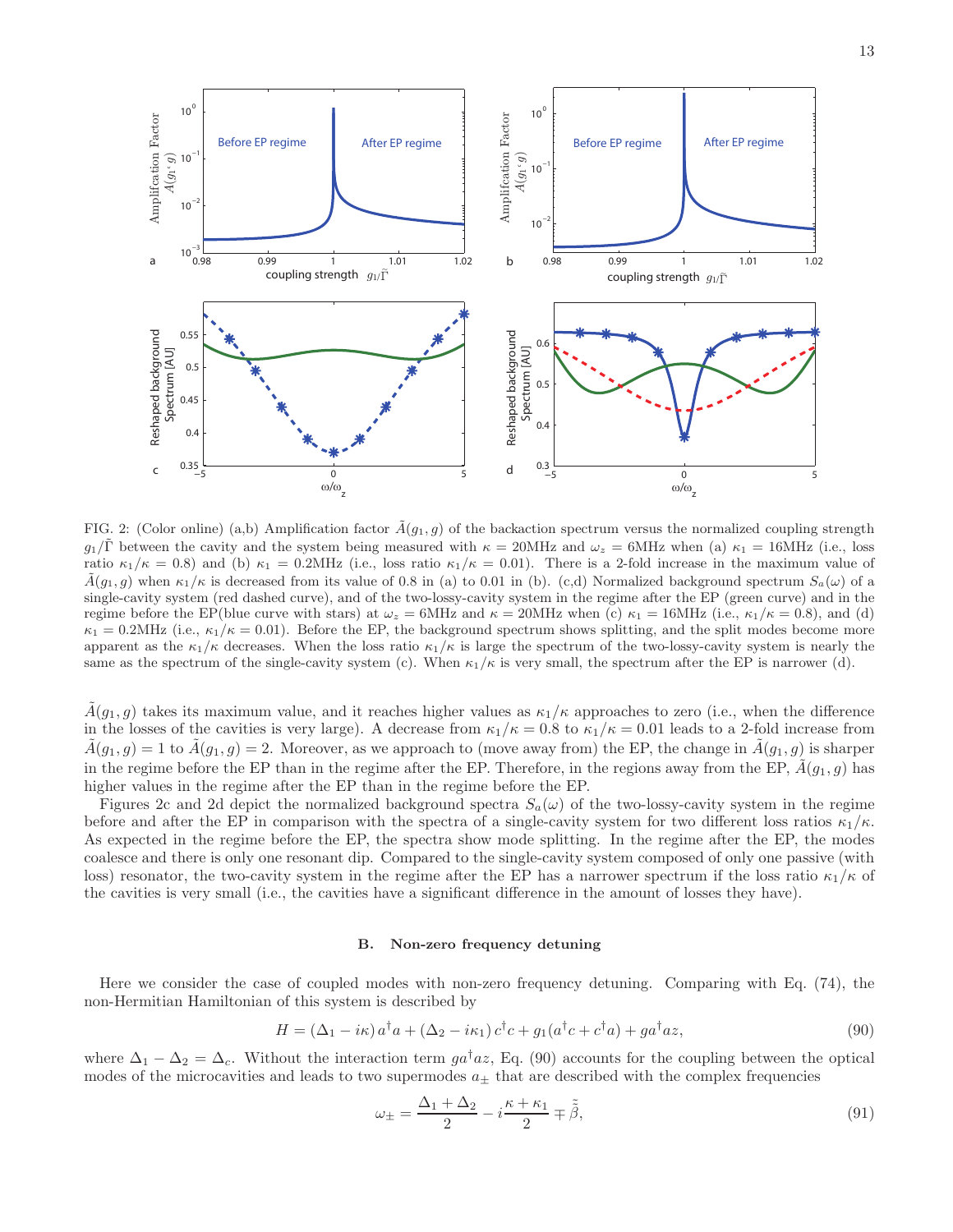

FIG. 2: (Color online) (a,b) Amplification factor  $\tilde{A}(g_1, g)$  of the backaction spectrum versus the normalized coupling strength  $g_1/\tilde{\Gamma}$  between the cavity and the system being measured with  $\kappa = 20$ MHz and  $\omega_z = 6$ MHz when (a)  $\kappa_1 = 16$ MHz (i.e., loss ratio  $\kappa_1/\kappa = 0.8$ ) and (b)  $\kappa_1 = 0.2 \text{MHz}$  (i.e., loss ratio  $\kappa_1/\kappa = 0.01$ ). There is a 2-fold increase in the maximum value of  $\tilde{A}(g_1, g)$  when  $\kappa_1/\kappa$  is decreased from its value of 0.8 in (a) to 0.01 in (b). (c,d) Normalized background spectrum  $S_a(\omega)$  of a single-cavity system (red dashed curve), and of the two-lossy-cavity system in the regime after the EP (green curve) and in the regime before the EP(blue curve with stars) at  $\omega_z = 6MHz$  and  $\kappa = 20MHz$  when (c)  $\kappa_1 = 16MHz$  (i.e.,  $\kappa_1/\kappa = 0.8$ ), and (d)  $\kappa_1 = 0.2 \text{MHz}$  (i.e.,  $\kappa_1/\kappa = 0.01$ ). Before the EP, the background spectrum shows splitting, and the split modes become more apparent as the  $\kappa_1/\kappa$  decreases. When the loss ratio  $\kappa_1/\kappa$  is large the spectrum of the two-lossy-cavity system is nearly the same as the spectrum of the single-cavity system (c). When  $\kappa_1/\kappa$  is very small, the spectrum after the EP is narrower (d).

 $A(g_1, g)$  takes its maximum value, and it reaches higher values as  $\kappa_1/\kappa$  approaches to zero (i.e., when the difference in the losses of the cavities is very large). A decrease from  $\kappa_1/\kappa = 0.8$  to  $\kappa_1/\kappa = 0.01$  leads to a 2-fold increase from  $A(g_1, g) = 1$  to  $A(g_1, g) = 2$ . Moreover, as we approach to (move away from) the EP, the change in  $A(g_1, g)$  is sharper in the regime before the EP than in the regime after the EP. Therefore, in the regions away from the EP,  $\tilde{A}(g_1, g)$  has higher values in the regime after the EP than in the regime before the EP.

Figures 2c and 2d depict the normalized background spectra  $S_a(\omega)$  of the two-lossy-cavity system in the regime before and after the EP in comparison with the spectra of a single-cavity system for two different loss ratios  $\kappa_1/\kappa$ . As expected in the regime before the EP, the spectra show mode splitting. In the regime after the EP, the modes coalesce and there is only one resonant dip. Compared to the single-cavity system composed of only one passive (with loss) resonator, the two-cavity system in the regime after the EP has a narrower spectrum if the loss ratio  $\kappa_1/\kappa$  of the cavities is very small (i.e., the cavities have a significant difference in the amount of losses they have).

#### B. Non-zero frequency detuning

Here we consider the case of coupled modes with non-zero frequency detuning. Comparing with Eq. (74), the non-Hermitian Hamiltonian of this system is described by

$$
H = (\Delta_1 - i\kappa) a^\dagger a + (\Delta_2 - i\kappa_1) c^\dagger c + g_1 (a^\dagger c + c^\dagger a) + g a^\dagger a z,
$$
\n
$$
(90)
$$

where  $\Delta_1 - \Delta_2 = \Delta_c$ . Without the interaction term  $ga^{\dagger}az$ , Eq. (90) accounts for the coupling between the optical modes of the microcavities and leads to two supermodes  $a_{\pm}$  that are described with the complex frequencies

$$
\omega_{\pm} = \frac{\Delta_1 + \Delta_2}{2} - i \frac{\kappa + \kappa_1}{2} \mp \tilde{\beta},\tag{91}
$$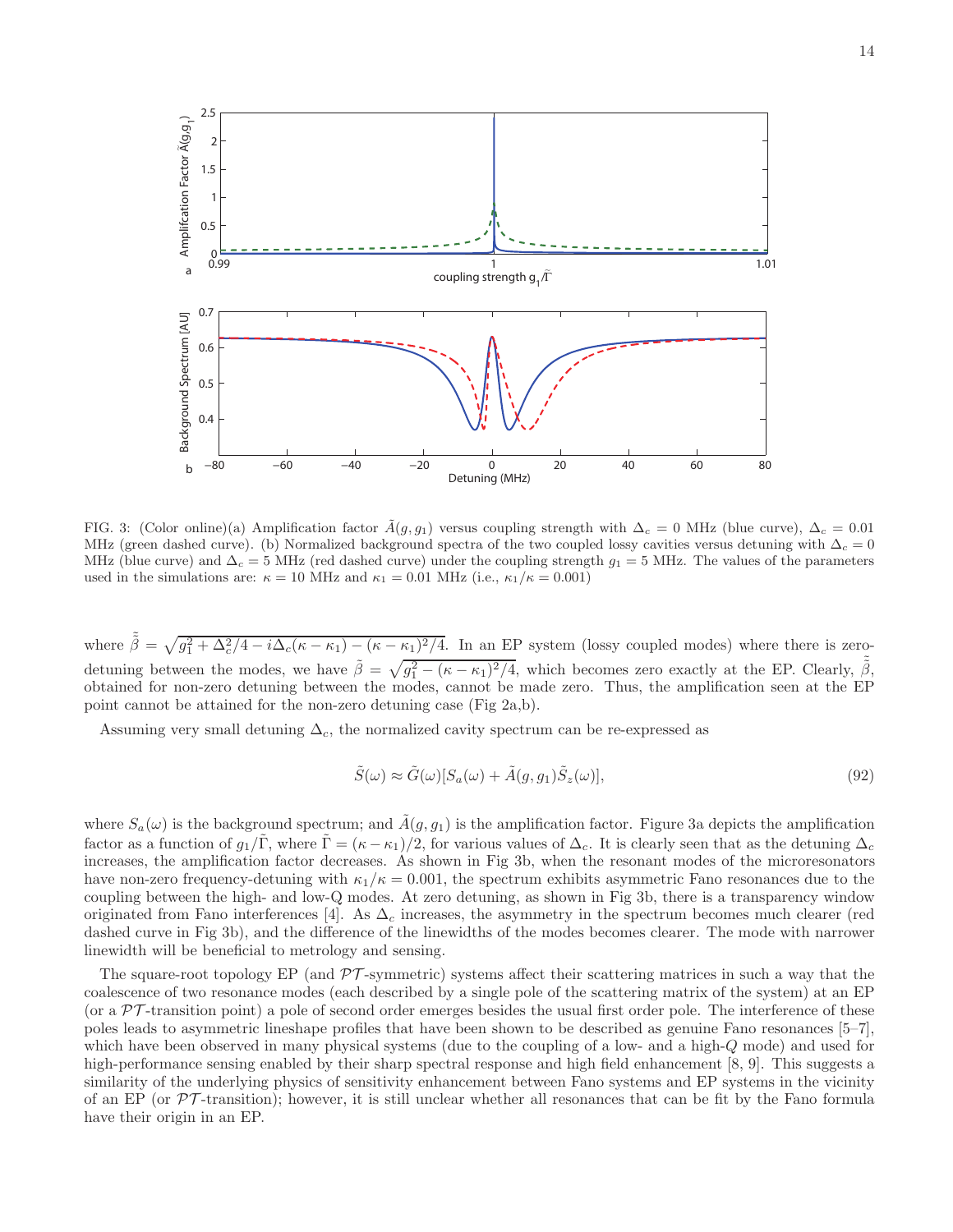

FIG. 3: (Color online)(a) Amplification factor  $\tilde{A}(g, g_1)$  versus coupling strength with  $\Delta_c = 0$  MHz (blue curve),  $\Delta_c = 0.01$ MHz (green dashed curve). (b) Normalized background spectra of the two coupled lossy cavities versus detuning with  $\Delta_c = 0$ MHz (blue curve) and  $\Delta_c = 5$  MHz (red dashed curve) under the coupling strength  $g_1 = 5$  MHz. The values of the parameters used in the simulations are:  $\kappa = 10$  MHz and  $\kappa_1 = 0.01$  MHz (i.e.,  $\kappa_1/\kappa = 0.001$ )

where  $\tilde{\beta} = \sqrt{g_1^2 + \Delta_c^2/4 - i\Delta_c(\kappa - \kappa_1) - (\kappa - \kappa_1)^2/4}$ . In an EP system (lossy coupled modes) where there is zerodetuning between the modes, we have  $\tilde{\beta} = \sqrt{g_1^2 - (\kappa - \kappa_1)^2/4}$ , which becomes zero exactly at the EP. Clearly,  $\tilde{\tilde{\beta}}$ , obtained for non-zero detuning between the modes, cannot be made zero. Thus, the amplification seen at the EP point cannot be attained for the non-zero detuning case (Fig 2a,b).

Assuming very small detuning  $\Delta_c$ , the normalized cavity spectrum can be re-expressed as

$$
\tilde{S}(\omega) \approx \tilde{G}(\omega)[S_a(\omega) + \tilde{A}(g, g_1)\tilde{S}_z(\omega)],
$$
\n(92)

where  $S_a(\omega)$  is the background spectrum; and  $\tilde{A}(g, g_1)$  is the amplification factor. Figure 3a depicts the amplification factor as a function of  $g_1/\tilde{\Gamma}$ , where  $\tilde{\Gamma} = (\kappa - \kappa_1)/2$ , for various values of  $\Delta_c$ . It is clearly seen that as the detuning  $\Delta_c$ increases, the amplification factor decreases. As shown in Fig 3b, when the resonant modes of the microresonators have non-zero frequency-detuning with  $\kappa_1/\kappa = 0.001$ , the spectrum exhibits asymmetric Fano resonances due to the coupling between the high- and low-Q modes. At zero detuning, as shown in Fig 3b, there is a transparency window originated from Fano interferences [4]. As  $\Delta_c$  increases, the asymmetry in the spectrum becomes much clearer (red dashed curve in Fig 3b), and the difference of the linewidths of the modes becomes clearer. The mode with narrower linewidth will be beneficial to metrology and sensing.

The square-root topology EP (and  $\mathcal{PT}$ -symmetric) systems affect their scattering matrices in such a way that the coalescence of two resonance modes (each described by a single pole of the scattering matrix of the system) at an EP (or a  $\mathcal{PT}$ -transition point) a pole of second order emerges besides the usual first order pole. The interference of these poles leads to asymmetric lineshape profiles that have been shown to be described as genuine Fano resonances [5–7], which have been observed in many physical systems (due to the coupling of a low- and a high-Q mode) and used for high-performance sensing enabled by their sharp spectral response and high field enhancement [8, 9]. This suggests a similarity of the underlying physics of sensitivity enhancement between Fano systems and EP systems in the vicinity of an EP (or  $\mathcal{PT}$ -transition); however, it is still unclear whether all resonances that can be fit by the Fano formula have their origin in an EP.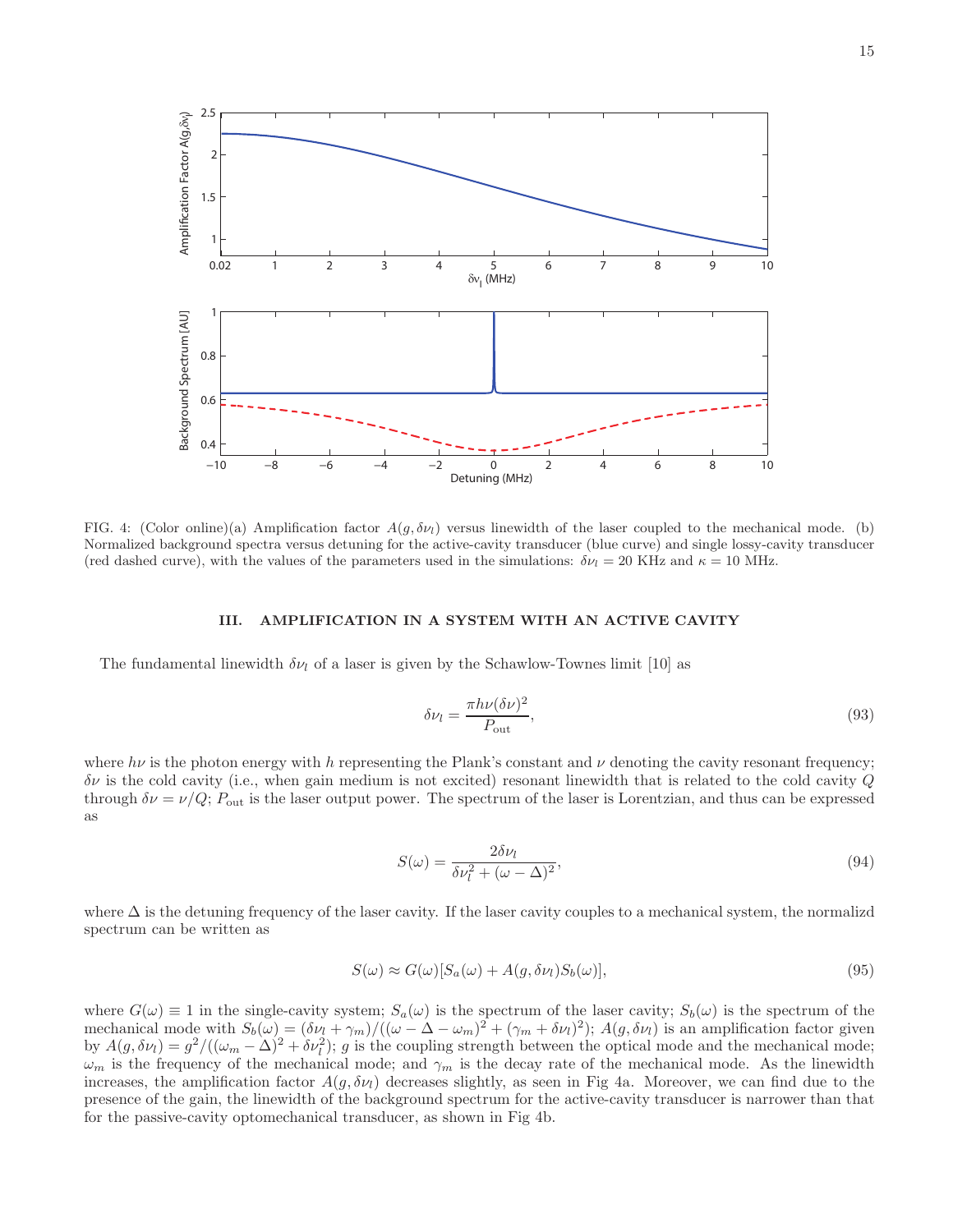

FIG. 4: (Color online)(a) Amplification factor  $A(g, \delta \nu_l)$  versus linewidth of the laser coupled to the mechanical mode. (b) Normalized background spectra versus detuning for the active-cavity transducer (blue curve) and single lossy-cavity transducer (red dashed curve), with the values of the parameters used in the simulations:  $\delta \nu_l = 20$  KHz and  $\kappa = 10$  MHz.

## III. AMPLIFICATION IN A SYSTEM WITH AN ACTIVE CAVITY

The fundamental linewidth  $\delta \nu_l$  of a laser is given by the Schawlow-Townes limit [10] as

$$
\delta \nu_l = \frac{\pi h \nu (\delta \nu)^2}{P_{\text{out}}},\tag{93}
$$

where  $h\nu$  is the photon energy with h representing the Plank's constant and  $\nu$  denoting the cavity resonant frequency;  $\delta \nu$  is the cold cavity (i.e., when gain medium is not excited) resonant linewidth that is related to the cold cavity  $Q$ through  $\delta \nu = \nu/Q$ ;  $P_{\text{out}}$  is the laser output power. The spectrum of the laser is Lorentzian, and thus can be expressed as

$$
S(\omega) = \frac{2\delta\nu_l}{\delta\nu_l^2 + (\omega - \Delta)^2},\tag{94}
$$

where  $\Delta$  is the detuning frequency of the laser cavity. If the laser cavity couples to a mechanical system, the normalized spectrum can be written as

$$
S(\omega) \approx G(\omega)[S_a(\omega) + A(g, \delta \nu_l)S_b(\omega)],
$$
\n(95)

where  $G(\omega) \equiv 1$  in the single-cavity system;  $S_a(\omega)$  is the spectrum of the laser cavity;  $S_b(\omega)$  is the spectrum of the mechanical mode with  $S_b(\omega) = (\delta \nu_l + \gamma_m)/((\omega - \Delta - \omega_m)^2 + (\gamma_m + \delta \nu_l)^2); A(g, \delta \nu_l)$  is an amplification factor given by  $A(g, \delta \nu_l) = g^2/((\omega_m - \Delta)^2 + \delta \nu_l^2)$ ; g is the coupling strength between the optical mode and the mechanical mode;  $\omega_m$  is the frequency of the mechanical mode; and  $\gamma_m$  is the decay rate of the mechanical mode. As the linewidth increases, the amplification factor  $A(g, \delta v_l)$  decreases slightly, as seen in Fig 4a. Moreover, we can find due to the presence of the gain, the linewidth of the background spectrum for the active-cavity transducer is narrower than that for the passive-cavity optomechanical transducer, as shown in Fig 4b.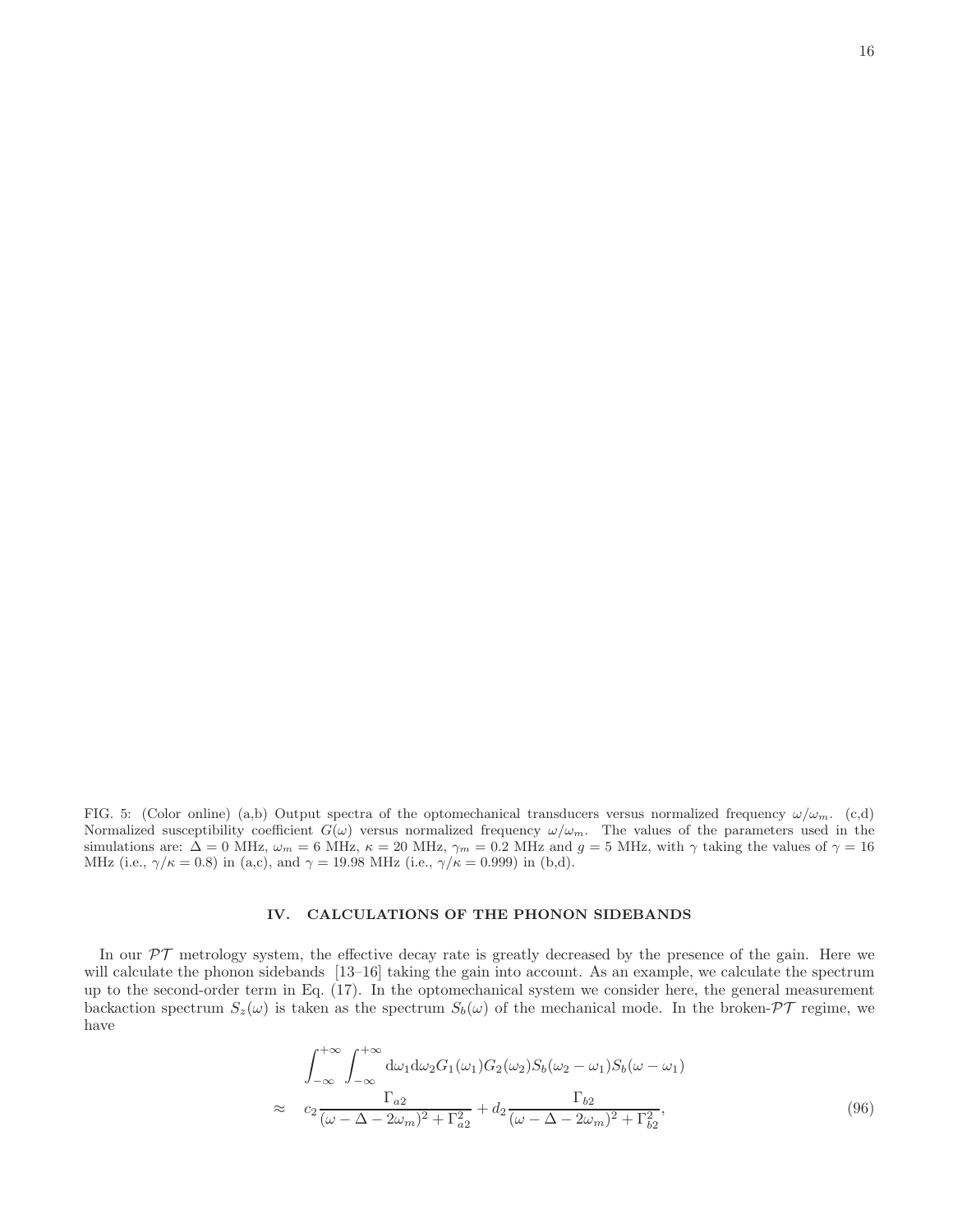16

FIG. 5: (Color online) (a,b) Output spectra of the optomechanical transducers versus normalized frequency  $\omega/\omega_m$ . (c,d) Normalized susceptibility coefficient  $G(\omega)$  versus normalized frequency  $\omega/\omega_m$ . The values of the parameters used in the simulations are:  $\Delta = 0$  MHz,  $\omega_m = 6$  MHz,  $\kappa = 20$  MHz,  $\gamma_m = 0.2$  MHz and  $g = 5$  MHz, with  $\gamma$  taking the values of  $\gamma = 16$ MHz (i.e.,  $\gamma/\kappa = 0.8$ ) in (a,c), and  $\gamma = 19.98$  MHz (i.e.,  $\gamma/\kappa = 0.999$ ) in (b,d).

## IV. CALCULATIONS OF THE PHONON SIDEBANDS

In our  $\mathcal{PT}$  metrology system, the effective decay rate is greatly decreased by the presence of the gain. Here we will calculate the phonon sidebands [13–16] taking the gain into account. As an example, we calculate the spectrum up to the second-order term in Eq. (17). In the optomechanical system we consider here, the general measurement backaction spectrum  $S_z(\omega)$  is taken as the spectrum  $S_b(\omega)$  of the mechanical mode. In the broken- $\mathcal{PT}$  regime, we have

$$
\int_{-\infty}^{+\infty} \int_{-\infty}^{+\infty} d\omega_1 d\omega_2 G_1(\omega_1) G_2(\omega_2) S_b(\omega_2 - \omega_1) S_b(\omega - \omega_1)
$$
  

$$
\approx c_2 \frac{\Gamma_{a2}}{(\omega - \Delta - 2\omega_m)^2 + \Gamma_{a2}^2} + d_2 \frac{\Gamma_{b2}}{(\omega - \Delta - 2\omega_m)^2 + \Gamma_{b2}^2},
$$
(96)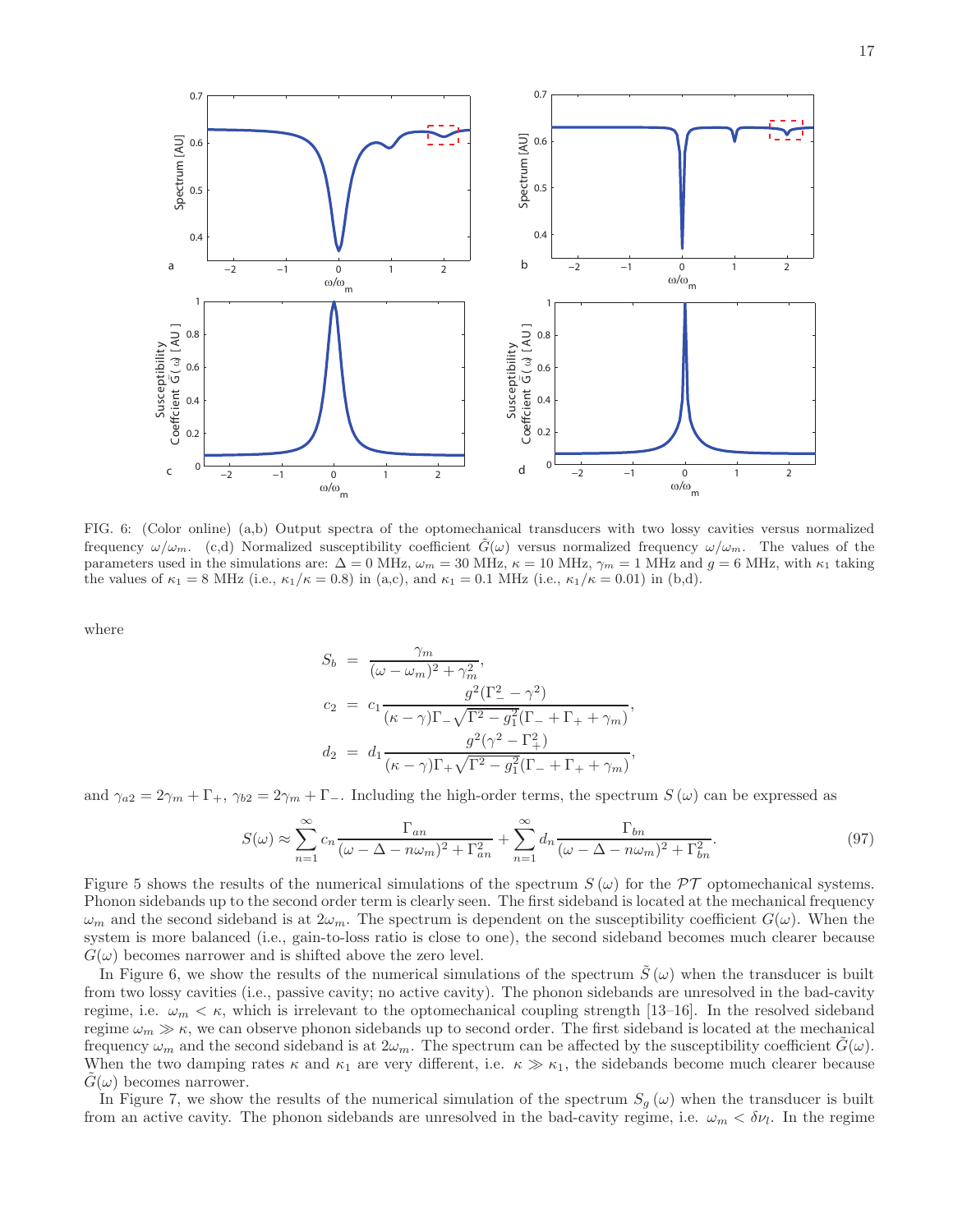

FIG. 6: (Color online) (a,b) Output spectra of the optomechanical transducers with two lossy cavities versus normalized frequency  $\omega/\omega_m$ . (c,d) Normalized susceptibility coefficient  $\tilde{G}(\omega)$  versus normalized frequency  $\omega/\omega_m$ . The values of the parameters used in the simulations are:  $\Delta = 0$  MHz,  $\omega_m = 30$  MHz,  $\kappa = 10$  MHz,  $\gamma_m = 1$  MHz and  $g = 6$  MHz, with  $\kappa_1$  taking the values of  $\kappa_1 = 8$  MHz (i.e.,  $\kappa_1/\kappa = 0.8$ ) in (a,c), and  $\kappa_1 = 0.1$  MHz (i.e.,  $\kappa_1/\kappa = 0.01$ ) in (b,d).

where

$$
S_b = \frac{\gamma_m}{(\omega - \omega_m)^2 + \gamma_m^2},
$$
  
\n
$$
c_2 = c_1 \frac{g^2(\Gamma_-^2 - \gamma^2)}{(\kappa - \gamma)\Gamma_- \sqrt{\Gamma^2 - g_1^2}(\Gamma_- + \Gamma_+ + \gamma_m)},
$$
  
\n
$$
d_2 = d_1 \frac{g^2(\gamma^2 - \Gamma_+^2)}{(\kappa - \gamma)\Gamma_+ \sqrt{\Gamma^2 - g_1^2}(\Gamma_- + \Gamma_+ + \gamma_m)},
$$

and  $\gamma_{a2} = 2\gamma_m + \Gamma_+$ ,  $\gamma_{b2} = 2\gamma_m + \Gamma_-$ . Including the high-order terms, the spectrum  $S(\omega)$  can be expressed as

$$
S(\omega) \approx \sum_{n=1}^{\infty} c_n \frac{\Gamma_{an}}{(\omega - \Delta - n\omega_m)^2 + \Gamma_{an}^2} + \sum_{n=1}^{\infty} d_n \frac{\Gamma_{bn}}{(\omega - \Delta - n\omega_m)^2 + \Gamma_{bn}^2}.
$$
 (97)

Figure 5 shows the results of the numerical simulations of the spectrum  $S(\omega)$  for the  $\mathcal{PT}$  optomechanical systems. Phonon sidebands up to the second order term is clearly seen. The first sideband is located at the mechanical frequency  $\omega_m$  and the second sideband is at  $2\omega_m$ . The spectrum is dependent on the susceptibility coefficient  $G(\omega)$ . When the system is more balanced (i.e., gain-to-loss ratio is close to one), the second sideband becomes much clearer because  $G(\omega)$  becomes narrower and is shifted above the zero level.

In Figure 6, we show the results of the numerical simulations of the spectrum  $\tilde{S}(\omega)$  when the transducer is built from two lossy cavities (i.e., passive cavity; no active cavity). The phonon sidebands are unresolved in the bad-cavity regime, i.e.  $\omega_m < \kappa$ , which is irrelevant to the optomechanical coupling strength [13-16]. In the resolved sideband regime  $\omega_m \gg \kappa$ , we can observe phonon sidebands up to second order. The first sideband is located at the mechanical frequency  $\omega_m$  and the second sideband is at  $2\omega_m$ . The spectrum can be affected by the susceptibility coefficient  $G(\omega)$ . When the two damping rates  $\kappa$  and  $\kappa_1$  are very different, i.e.  $\kappa \gg \kappa_1$ , the sidebands become much clearer because  $G(\omega)$  becomes narrower.

In Figure 7, we show the results of the numerical simulation of the spectrum  $S_g(\omega)$  when the transducer is built from an active cavity. The phonon sidebands are unresolved in the bad-cavity regime, i.e.  $\omega_m < \delta \nu_l$ . In the regime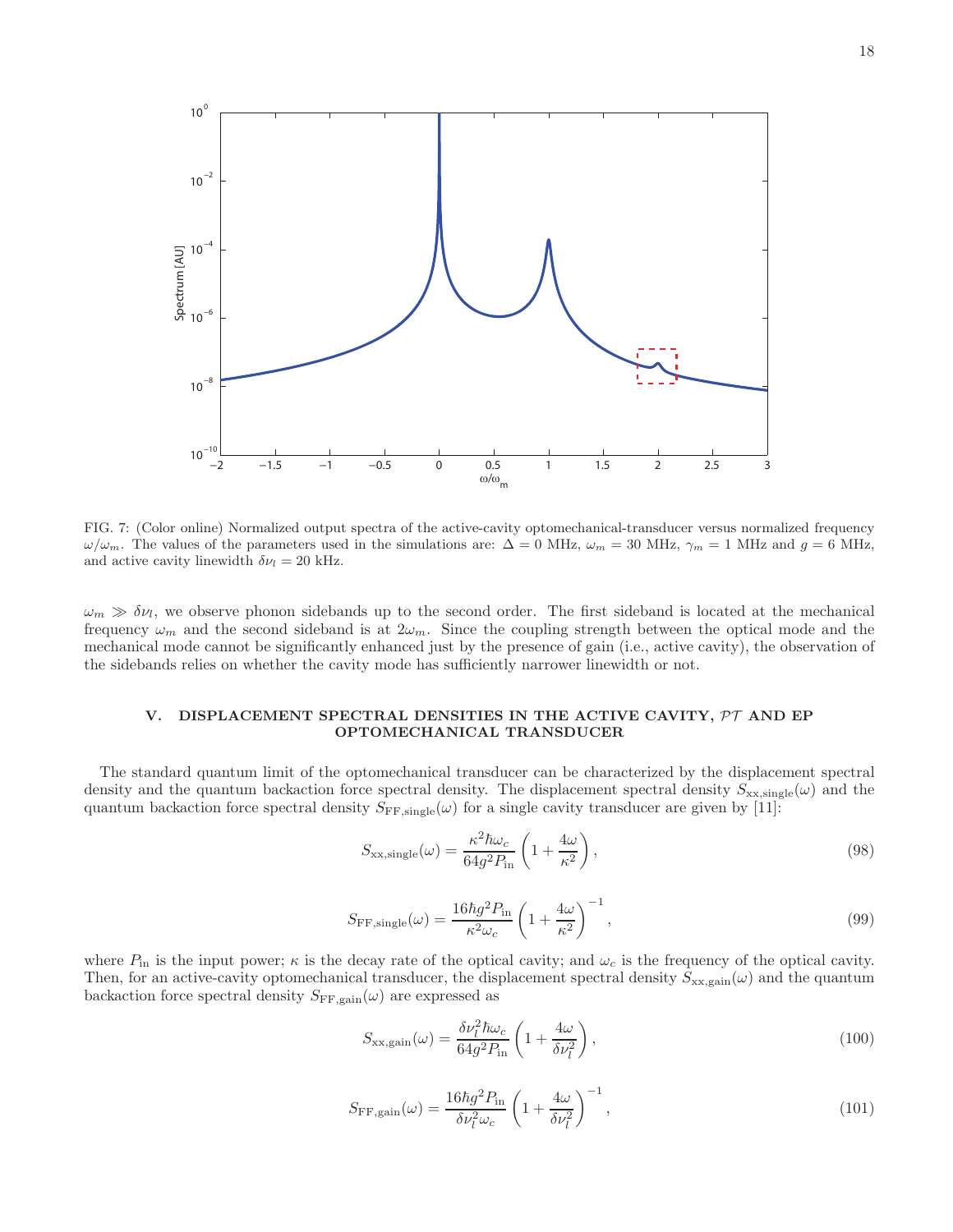

FIG. 7: (Color online) Normalized output spectra of the active-cavity optomechanical-transducer versus normalized frequency  $\omega/\omega_m$ . The values of the parameters used in the simulations are:  $\Delta = 0$  MHz,  $\omega_m = 30$  MHz,  $\gamma_m = 1$  MHz and  $g = 6$  MHz, and active cavity linewidth  $\delta \nu_l = 20$  kHz.

 $\omega_m \gg \delta \nu_l$ , we observe phonon sidebands up to the second order. The first sideband is located at the mechanical frequency  $\omega_m$  and the second sideband is at  $2\omega_m$ . Since the coupling strength between the optical mode and the mechanical mode cannot be significantly enhanced just by the presence of gain (i.e., active cavity), the observation of the sidebands relies on whether the cavity mode has sufficiently narrower linewidth or not.

## V. DISPLACEMENT SPECTRAL DENSITIES IN THE ACTIVE CAVITY,  $\mathcal{PT}$  and EP OPTOMECHANICAL TRANSDUCER

The standard quantum limit of the optomechanical transducer can be characterized by the displacement spectral density and the quantum backaction force spectral density. The displacement spectral density  $S_{xx,single}(\omega)$  and the quantum backaction force spectral density  $S_{\text{FF,single}}(\omega)$  for a single cavity transducer are given by [11]:

$$
S_{\text{xx,single}}(\omega) = \frac{\kappa^2 \hbar \omega_c}{64g^2 P_{\text{in}}} \left( 1 + \frac{4\omega}{\kappa^2} \right),\tag{98}
$$

$$
S_{\rm FF,single}(\omega) = \frac{16\hbar g^2 P_{\rm in}}{\kappa^2 \omega_c} \left(1 + \frac{4\omega}{\kappa^2}\right)^{-1},\tag{99}
$$

where  $P_{\text{in}}$  is the input power;  $\kappa$  is the decay rate of the optical cavity; and  $\omega_c$  is the frequency of the optical cavity. Then, for an active-cavity optomechanical transducer, the displacement spectral density  $S_{\rm xx,gain}(\omega)$  and the quantum backaction force spectral density  $S_{\text{FF,gain}}(\omega)$  are expressed as

$$
S_{\rm xx, gain}(\omega) = \frac{\delta \nu_l^2 \hbar \omega_c}{64g^2 P_{\rm in}} \left( 1 + \frac{4\omega}{\delta \nu_l^2} \right),\tag{100}
$$

$$
S_{\rm FF, gain}(\omega) = \frac{16\hbar g^2 P_{\rm in}}{\delta \nu_l^2 \omega_c} \left( 1 + \frac{4\omega}{\delta \nu_l^2} \right)^{-1},\tag{101}
$$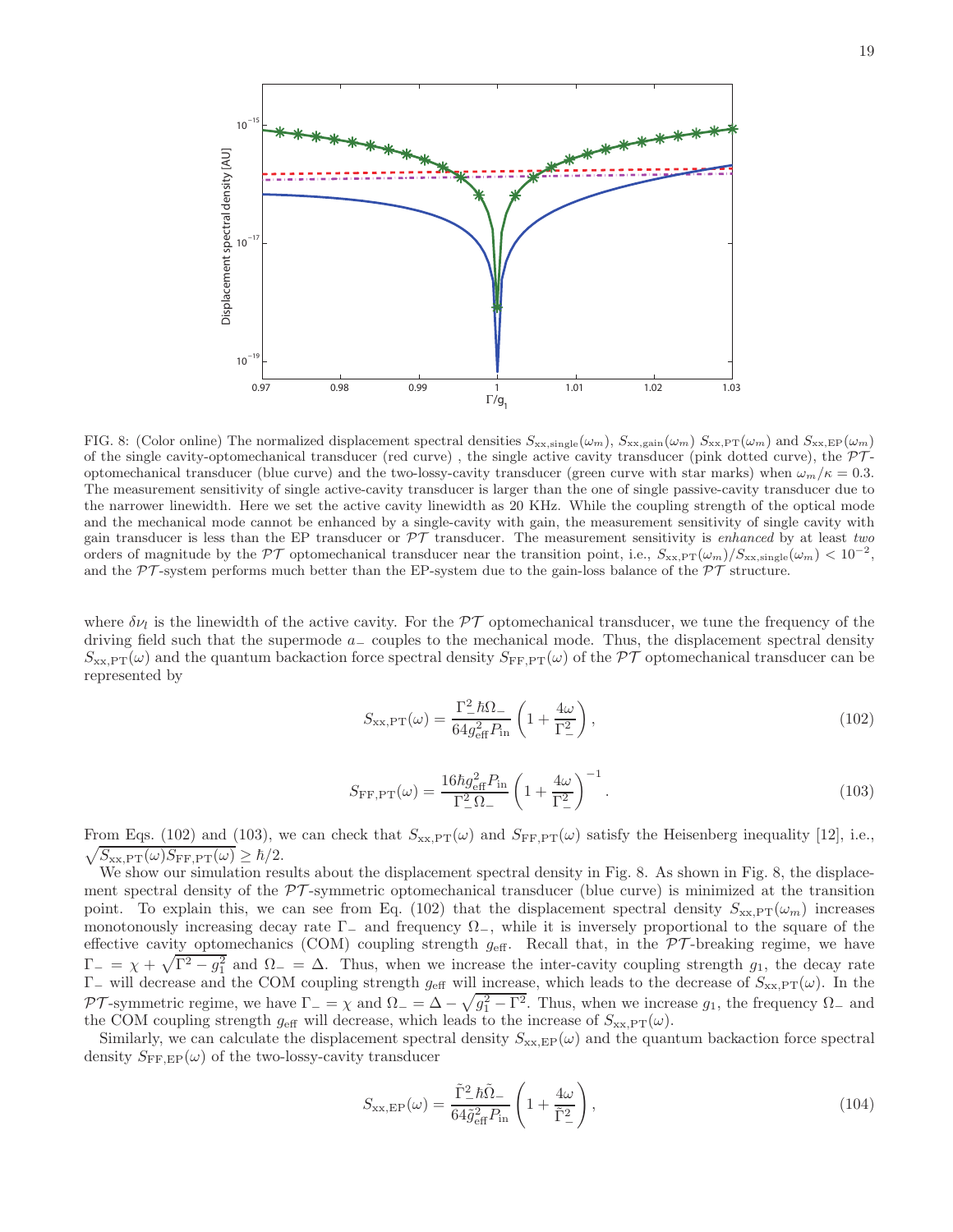

FIG. 8: (Color online) The normalized displacement spectral densities  $S_{\text{xx,single}}(\omega_m)$ ,  $S_{\text{xx,gain}}(\omega_m)$   $S_{\text{xx,PT}}(\omega_m)$  and  $S_{\text{xx,EP}}(\omega_m)$ of the single cavity-optomechanical transducer (red curve), the single active cavity transducer (pink dotted curve), the  $\mathcal{PT}$ optomechanical transducer (blue curve) and the two-lossy-cavity transducer (green curve with star marks) when  $\omega_m/\kappa = 0.3$ . The measurement sensitivity of single active-cavity transducer is larger than the one of single passive-cavity transducer due to the narrower linewidth. Here we set the active cavity linewidth as 20 KHz. While the coupling strength of the optical mode and the mechanical mode cannot be enhanced by a single-cavity with gain, the measurement sensitivity of single cavity with gain transducer is less than the EP transducer or PT transducer. The measurement sensitivity is *enhanced* by at least *two* orders of magnitude by the PT optomechanical transducer near the transition point, i.e.,  $S_{\text{xx,PT}}(\omega_m)/S_{\text{xx,single}}(\omega_m) < 10^{-2}$ , and the  $\mathcal{PT}$ -system performs much better than the EP-system due to the gain-loss balance of the  $\mathcal{PT}$  structure.

where  $\delta \nu_l$  is the linewidth of the active cavity. For the  $\mathcal{PT}$  optomechanical transducer, we tune the frequency of the driving field such that the supermode a<sup>−</sup> couples to the mechanical mode. Thus, the displacement spectral density  $S_{\text{xx,PT}}(\omega)$  and the quantum backaction force spectral density  $S_{\text{FF,PT}}(\omega)$  of the PT optomechanical transducer can be represented by

$$
S_{\text{xx,PT}}(\omega) = \frac{\Gamma_-^2 \hbar \Omega_-}{64g_{\text{eff}}^2 P_{\text{in}}} \left(1 + \frac{4\omega}{\Gamma_-^2}\right),\tag{102}
$$

$$
S_{\rm FF,PT}(\omega) = \frac{16\hbar g_{\rm eff}^2 P_{\rm in}}{\Gamma_-^2 \Omega_-} \left(1 + \frac{4\omega}{\Gamma_-^2}\right)^{-1}.\tag{103}
$$

 $\sqrt{S_{\rm xx,PT}(\omega)S_{\rm FF,PT}(\omega)} \geq \hbar/2.$ From Eqs. (102) and (103), we can check that  $S_{\text{xx,PT}}(\omega)$  and  $S_{\text{FF,PT}}(\omega)$  satisfy the Heisenberg inequality [12], i.e.,

We show our simulation results about the displacement spectral density in Fig. 8. As shown in Fig. 8, the displacement spectral density of the  $\mathcal{PT}$ -symmetric optomechanical transducer (blue curve) is minimized at the transition point. To explain this, we can see from Eq. (102) that the displacement spectral density  $S_{\text{xx,PT}}(\omega_m)$  increases monotonously increasing decay rate  $\Gamma_-\$  and frequency  $\Omega_-\$ , while it is inversely proportional to the square of the effective cavity optomechanics (COM) coupling strength  $g_{\text{eff}}$ . Recall that, in the  $\mathcal{PT}$ -breaking regime, we have  $\Gamma_{-} = \chi + \sqrt{\Gamma^2 - g_1^2}$  and  $\Omega_{-} = \Delta$ . Thus, when we increase the inter-cavity coupling strength  $g_1$ , the decay rate  $Γ_$  will decrease and the COM coupling strength  $g_{\text{eff}}$  will increase, which leads to the decrease of  $S_{\text{xx,PT}}(ω)$ . In the PT-symmetric regime, we have  $\Gamma = \chi$  and  $\Omega = \Delta - \sqrt{g_1^2 - \Gamma^2}$ . Thus, when we increase  $g_1$ , the frequency  $\Omega$  and the COM coupling strength  $g_{\text{eff}}$  will decrease, which leads to the increase of  $S_{\text{xx,PT}}(\omega)$ .

Similarly, we can calculate the displacement spectral density  $S_{\text{xx,EP}}(\omega)$  and the quantum backaction force spectral density  $S_{\text{FF,EP}}(\omega)$  of the two-lossy-cavity transducer

$$
S_{\text{xx,EP}}(\omega) = \frac{\tilde{\Gamma}^2_{-} \hbar \tilde{\Omega}_{-}}{64 \tilde{g}_{\text{eff}}^2 P_{\text{in}}} \left( 1 + \frac{4\omega}{\tilde{\Gamma}^2_{-}} \right),\tag{104}
$$